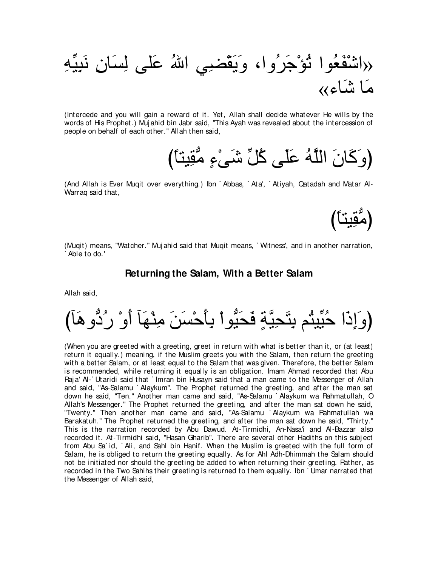

(Intercede and you will gain a reward of it. Yet, Allah shall decide whatever He wills by the words of His Prophet.) Muj ahid bin Jabr said, "This Ayah was revealed about the intercession of people on behalf of each other.'' Allah then said,

び⇔ゅわΒ⌒ボぁョ ∃¬∇ヴ∠セ あモ⊥ミ ヴ∠ヤ∠ハ ⊥ヮzヤャや ∠ラゅ∠ミ∠ヱぴ

(مُّقِينَاً)

(And Allah is Ever Muqit over everything.) Ibn ` Abbas, ` Ata', ` Atiyah, Qatadah and Matar Al-Warraq said that,

(Muqit) means, "Watcher.'' Muj ahid said that Muqit means, ` Witness', and in another narration, Able to do.'

## **Returning the Salam, With a Better Salam**

Allah said,

びべ∠ワヱぁキ⊥ケ ∇ヱ∠ぺ べ∠ヰ∇レ⌒ョ ∠リ∠ジ∇ェ∠ほ⌒よ ∇やヲぁΒ∠エ∠プ ∃るzΒ⌒エ∠わ⌒よ ユ⊥わΒあΒ⊥ェ や∠ク⌒ま∠ヱぴ

(When you are greeted with a greeting, greet in return with what is better than it, or (at least) return it equally.) meaning, if the Muslim greets you with the Salam, then return the greeting with a better Salam, or at least equal to the Salam that was given. Therefore, the better Salam is recommended, while returning it equally is an obligation. Imam Ahmad recorded that Abu Raj a' Al-` Utaridi said that ` Imran bin Husayn said that a man came to the Messenger of Allah and said, "As-Salamu ` Alaykum''. The Prophet returned the greeting, and after the man sat down he said, "Ten.'' Another man came and said, "As-Salamu ` Alaykum wa Rahmatullah, O Allah's Messenger.'' The Prophet returned the greeting, and after the man sat down he said, "Twenty.'' Then another man came and said, "As-Salamu ` Alaykum wa Rahmatullah wa Barakatuh.'' The Prophet returned the greeting, and after the man sat down he said, "Thirty.'' This is the narration recorded by Abu Dawud. At-Tirmidhi, An-Nasa'i and Al-Bazzar also recorded it. At-Tirmidhi said, "Hasan Gharib''. There are several other Hadiths on this subj ect from Abu Sa` id, ` Ali, and Sahl bin Hanif. When the Muslim is greeted with the full form of Salam, he is obliged to return the greeting equally. As for Ahl Adh-Dhimmah the Salam should not be initiated nor should the greeting be added to when returning their greeting. Rather, as recorded in the Two Sahihs their greeting is returned to them equally. Ibn ` Umar narrated that the Messenger of Allah said,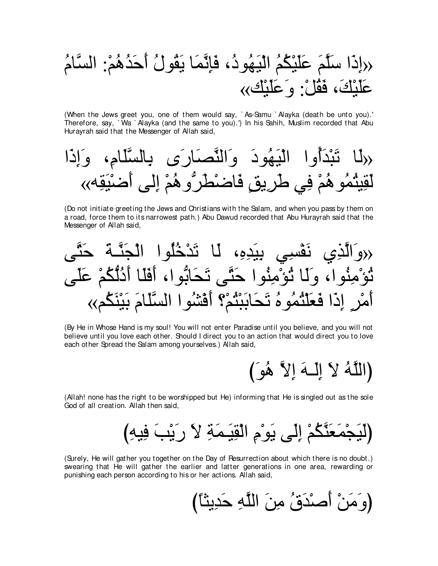(راِذَا سَلَّمَ عَلَبِّكُمُ الَيَهُوِدُ، فَاِتَّمَا يَقُولُ أَحَدُهُمُ: السَّامُ
$$
\overline{}
$$
عَلَبُكَ، فَتُلُ: وَعَلَبُكَ»

(When the Jews greet you, one of them would say, ` As-Samu ` Alayka (death be unto you).' Therefore, say, ` Wa ` Alayka (and the same to you).') In his Sahih, Muslim recorded that Abu Hurayrah said that the Messenger of Allah said,

や∠ク⌒ま∠ヱ ∩⌒ュゅ∠ヤzジャゅ⌒よ ン∠ケゅ∠ダzレャや∠ヱ ∠キヲ⊥ヰ∠Β∇ャや やヱ⊥ぺ∠ギ∇ら∠ゎ ゅ∠ャ» «ヮ⌒ボ∠Β∇ッ∠ぺ ヴャ⌒ま ∇ユ⊥ワヱぁゲ∠ト∇ッゅ∠プ ∃ペΑ⌒ゲ∠デ ヶ⌒プ ∇ユ⊥ワヲ⊥ヨ⊥わΒ⌒ボ∠ャ

(Do not initiate greeting the Jews and Christians with the Salam, and when you pass by them on a road, force them to its narrowest path.) Abu Dawud recorded that Abu Hurayrah said that the Messenger of Allah said,



(By He in Whose Hand is my soul! You will not enter Paradise until you believe, and you will not believe until you love each other. Should I direct you to an action that would direct you to love each other Spread the Salam among yourselves.) Allah said,

(اللَّهُ لاَ اِللَّهُ إِلاَّ هُوَ)

(Allah! none has the right to be worshipped but He) informing that He is singled out as the sole God of all creation. Allah then said,

جَمَعَنّكُمْ إِلَى يَوْمِ الْقِيَـمَةِ لاَ رِيْبَ فِيهِ)

(Surely, He will gather you together on the Day of Resurrection about which there is no doubt.) swearing that He will gather the earlier and latter generations in one area, rewarding or punishing each person according to his or her actions. Allah said,

(وَ مَنْ أَصِدْقُ مِنَ اللَّهِ حَدِيثاً)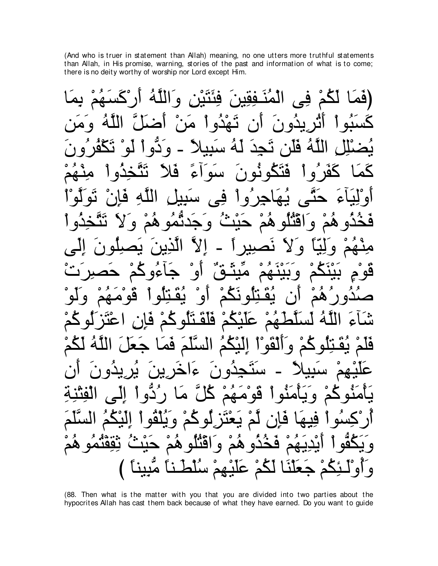(And who is truer in statement than Allah) meaning, no one utters more truthful statements than Allah, in His promise, warning, stories of the past and information of what is to come; there is no deity worthy of worship nor Lord except Him.

َ، واللَّهُ  $\dot{\mathbf{a}}$ ا قم  $\overline{Q}$ <u>۹۹</u> اضاً تَّصِّدُو ا ُم' ُ⁄ دّو ا سىنلا  $\mathbf{A}$  $9 \bullet$ سَوَ أَءً فلا کہ که،  $\mathbf{\tilde{L}}$ 9 نه ١  $\bullet$ 111 و ا فجي  $\bullet$ سننن  $\mathcal{L}$ هُم هم حىت تمو <u>۹۱</u> <u>े र</u>  $\bullet$  $\bullet$  $\Delta$  $\bullet$  $\Delta$  $\ddot{\phantom{1}}$ ءَو کَھُ مىڌ  $\blacktriangle$  $\sqrt{a}$  $\vert$  $\bullet$ ده <u>م</u> او ۹  $\mathbf{a}$  $\Delta$  $\mathbf{r}^{\prime}$ <u>م</u> ٠  $\bullet$ گم السآ <u>لفو ا</u> د قه حد و ده  $\bullet$  $\bullet$  $\mathbf{c}$  $\mathbf{A}$   $\mathbf{A}$  $\overline{\mathbf{u}}$ سدد ه<br>قو ه گا <u>ا ۱۹</u> പ  $\overline{\mathcal{L}}$ رَ حُنْزُ لو کم <u>مه</u> <u>٩</u>  $\bullet$  $\overline{\phantom{a}}$ فَخَذَو هَمّ و اقْتُلُو هَمْ ، تعقتمو حىد هه <u>°ه</u>  $\bullet$ لَكُمْ عَلَيْهِمْ سُلْطُناً منىنا L'i  $\bullet$ 

(88. Then what is the matter with you that you are divided into two parties about the hypocrites Allah has cast them back because of what they have earned. Do you want to guide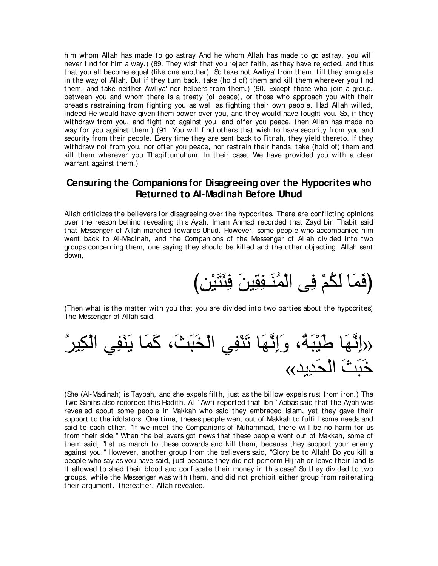him whom Allah has made to go astray And he whom Allah has made to go astray, you will never find for him a way.) (89. They wish that you rej ect faith, as they have rej ected, and thus that you all become equal (like one another). So take not Awliya' from them, till they emigrate in the way of Allah. But if they turn back, take (hold of) them and kill them wherever you find them, and take neither Awliya' nor helpers from them.) (90. Except those who join a group, between you and whom there is a treaty (of peace), or those who approach you with their breasts restraining from fighting you as well as fighting their own people. Had Allah willed, indeed He would have given them power over you, and they would have fought you. So, if they withdraw from you, and fight not against you, and offer you peace, then Allah has made no way for you against them.) (91. You will find others that wish to have security from you and security from their people. Every time they are sent back to Fitnah, they yield thereto. If they withdraw not from you, nor offer you peace, nor restrain their hands, take (hold of) them and kill them wherever you Thaqiftumuhum. In their case, We have provided you with a clear warrant against them.)

# **Censuring the Companions for Disagreeing over the Hypocrites who Returned to Al-Madinah Before Uhud**

Allah criticizes the believers for disagreeing over the hypocrites. There are conflicting opinions over the reason behind revealing this Ayah. Imam Ahmad recorded that Zayd bin Thabit said that Messenger of Allah marched towards Uhud. However, some people who accompanied him went back to Al-Madinah, and the Companions of the Messenger of Allah divided into two groups concerning them, one saying they should be killed and the other objecting. Allah sent down,

(فَمَا لَكُمْ فِي الْمُنَـٰفِقِينَ فِئَتَيْنِ)

(Then what is the matter with you that you are divided into two parties about the hypocrites) The Messenger of Allah said,

⊥ゲΒ⌒ム∇ャや ヶ⌒ヘ∇レ∠Α ゅ∠ヨ∠ミ ∩∠ゑ∠ら∠ガ∇ャや ヶ⌒ヘ∇レ∠ゎ ゅ∠ヰzル⌒ま∠ヱ ∩⊥る∠ら∇Β∠デ ゅ∠ヰzル⌒ま» «ギΑ⌒ギ∠エ∇ャや ∠ゑ∠ら∠カ

(She (Al-Madinah) is Taybah, and she expels filth, j ust as the billow expels rust from iron.) The Two Sahihs also recorded this Hadith. Al-` Awfi reported that Ibn ` Abbas said that the Ayah was revealed about some people in Makkah who said they embraced Islam, yet they gave their support to the idolators. One time, theses people went out of Makkah to fulfill some needs and said to each other, "If we meet the Companions of Muhammad, there will be no harm for us from their side.'' When the believers got news that these people went out of Makkah, some of them said, "Let us march to these cowards and kill them, because they support your enemy against you.'' However, another group from the believers said, "Glory be to Allah! Do you kill a people who say as you have said, just because they did not perform Hijrah or leave their land Is it allowed to shed their blood and confiscate their money in this case'' So they divided to two groups, while the Messenger was with them, and did not prohibit either group from reiterating their argument. Thereafter, Allah revealed,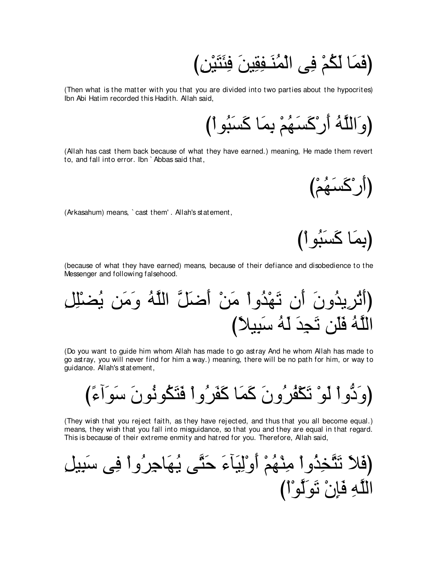(فَمَا لَكُمْ فِي الْمُنَـٰفِقِينَ فِئَثَيْنِ)

(Then what is the matter with you that you are divided into two parties about the hypocrites) Ibn Abi Hatim recorded this Hadith. Allah said,

び∇やヲ⊥ら∠ジ∠ミ ゅ∠ヨ⌒よ ∇ユ⊥ヰ∠ジ∠ミ∇ケ∠ぺ ⊥ヮzヤャや∠ヱぴ

(Allah has cast them back because of what they have earned.) meaning, He made them revert to, and fall into error. Ibn ` Abbas said that,

(أَرْكَسَهُمْ)<br>ا

(Arkasahum) means, ` cast them' . Allah's statement,

(بِمَا كَسَبُو ا

(because of what they have earned) means, because of their defiance and disobedience to the Messenger and following falsehood.

⌒モ⌒ヤ∇ツ⊥Α リ∠ョ∠ヱ ⊥ヮzヤャや zモ∠ッ∠ぺ ∇リ∠ョ ∇やヱ⊥ギ∇ヰ∠ゎ ラ∠ぺ ∠ラヱ⊥ギΑ⌒ゲ⊥ゎ∠ぺぴ び⇔ΚΒ⌒ら∠シ ⊥ヮ∠ャ ∠ギ⌒イ∠ゎ リ∠ヤ∠プ ⊥ヮzヤャや

(Do you want to guide him whom Allah has made to go astray And he whom Allah has made to go astray, you will never find for him a way.) meaning, there will be no path for him, or way to guidance. Allah's statement,

﴿وَدَّوا لَوْ تَكْفُرُونَ كَمَا كَفَرُواْ فَتَكُونُونَ سَوَآءً)

(They wish that you rej ect faith, as they have rej ected, and thus that you all become equal.) means, they wish that you fall into misguidance, so that you and they are equal in that regard. This is because of their extreme enmity and hatred for you. Therefore, Allah said,

⌒モΒ⌒ら∠シ ヴ⌒プ ∇やヱ⊥ゲ⌒ィゅ∠ヰ⊥Α ヴzわ∠ェ ∠¬べ∠Β⌒ャ∇ヱ∠ぺ ∇ユ⊥ヰ∇レ⌒ョ ∇やヱ⊥グ⌒ガzわ∠ゎ ∠Κ∠プぴ び∇や∇ヲzャ∠ヲ∠ゎ ∇ラ⌒み∠プ ⌒ヮzヤャや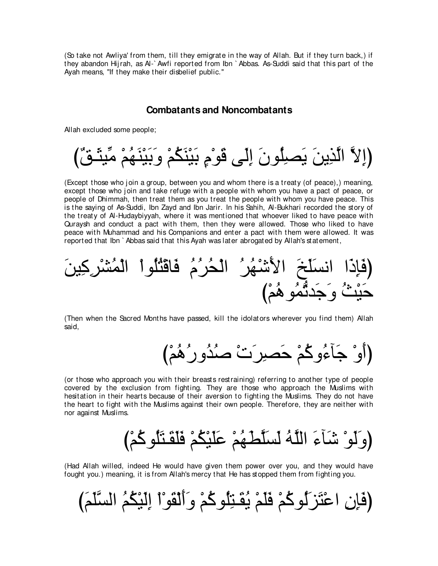(So take not Awliya' from them, till they emigrate in the way of Allah. But if they turn back,) if they abandon Hij rah, as Al-` Awfi reported from Ibn ` Abbas. As-Suddi said that this part of the Ayah means, "If they make their disbelief public.''

#### **Combatants and Noncombatants**

Allah excluded some people;

び∀ペ⇒∠んΒあョ ∇ユ⊥ヰ∠レ∇Β∠よ∠ヱ ∇ユ⊥ム∠レ∇Β∠よ ∃ュ∇ヲ∠ホ ヴ∠ャ⌒ま ∠ラヲ⊥ヤ⌒ダ∠Α ∠リΑ⌒グzャや zΙ⌒まぴ

(Except those who join a group, between you and whom there is a treaty (of peace), meaning, except those who join and take refuge with a people with whom you have a pact of peace, or people of Dhimmah, then treat them as you treat the people with whom you have peace. This is the saying of As-Suddi, Ibn Zayd and Ibn Jarir. In his Sahih, Al-Bukhari recorded the story of the treaty of Al-Hudaybiyyah, where it was mentioned that whoever liked to have peace with Quraysh and conduct a pact with them, then they were allowed. Those who liked to have peace with Muhammad and his Companions and enter a pact with them were allowed. It was reported that Ibn ` Abbas said that this Ayah was later abrogated by Allah's statement,



(Then when the Sacred Months have passed, kill the idolators wherever you find them) Allah said,

び∇ユ⊥ワ⊥ケヱ⊥ギ⊥タ ∇れ∠ゲ⌒ダ∠ェ ∇ユ⊥ミヱ⊥¬べ∠ィ ∇ヱ∠ぺぴ

(or those who approach you with their breasts restraining) referring to another type of people covered by the exclusion from fighting. They are those who approach the Muslims with hesitation in their hearts because of their aversion to fighting the Muslims. They do not have the heart to fight with the Muslims against their own people. Therefore, they are neither with nor against Muslims.

び∇ユ⊥ミヲ⊥ヤ∠わ⇒∠ボ∠ヤ∠プ ∇ユ⊥ム∇Β∠ヤ∠ハ ∇ユ⊥ヰ∠トzヤ∠ジ∠ャ ⊥ヮzヤャや ∠¬べ∠セ ∇ヲ∠ャ∠ヱぴ

(Had Allah willed, indeed He would have given them power over you, and they would have fought you.) meaning, it is from Allah's mercy that He has stopped them from fighting you.

び∠ユ∠ヤzジャや ⊥ユ⊥ム∇Β∠ャ⌒ま ∇や∇ヲ∠ボ∇ャ∠ぺ∠ヱ ∇ユ⊥ミヲ⊥ヤ⌒わ⇒∠ボ⊥Α ∇ユ∠ヤ∠プ ∇ユ⊥ミヲ⊥ャ∠ゴ∠わ∇ハや ⌒ラ⌒み∠プぴ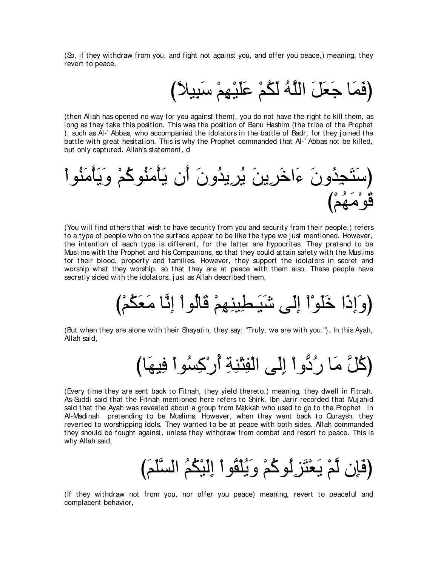(So, if they withdraw from you, and fight not against you, and offer you peace,) meaning, they revert to peace,

び⇔ΚΒ⌒ら∠シ ∇ユ⌒ヰ∇Β∠ヤ∠ハ ∇ユ⊥ム∠ャ ⊥ヮzヤャや ∠モ∠バ∠ィ ゅ∠ヨ∠プぴ

(then Allah has opened no way for you against them), you do not have the right to kill them, as long as they take this position. This was the position of Banu Hashim (the tribe of the Prophet ), such as Al-` Abbas, who accompanied the idolators in the battle of Badr, for they j oined the battle with great hesitation. This is why the Prophet commanded that Al-`Abbas not be killed, but only captured. Allah's statement, d



(You will find others that wish to have security from you and security from their people.) refers to a type of people who on the surface appear to be like the type we j ust mentioned. However, the intention of each type is different, for the latter are hypocrites. They pretend to be Muslims with the Prophet and his Companions, so that they could attain safety with the Muslims for their blood, property and families. However, they support the idolators in secret and worship what they worship, so that they are at peace with them also. These people have secretly sided with the idolators, just as Allah described them,

び∇ユ⊥ム∠バ∠ョ ゅzル⌒ま ∇やヲ⊥ャゅ∠ホ ∇ユ⌒ヰ⌒レΒ⌒ト⇒∠Β∠セ ヴ∠ャ⌒ま ∇や∇ヲ∠ヤ∠カ や∠ク⌒ま∠ヱぴ

(But when they are alone with their Shayatin, they say: "Truly, we are with you.''). In this Ayah, Allah said,

びゅ∠ヰ⌒Β⌒プ ∇やヲ⊥ジ⌒ミ∇ケ⊥ぺ ⌒る⌒レ∇わ⌒ヘ∇ャや ヴ∠ャ⌒ま ∇やヱぁキ⊥ケ ゅ∠ョ zモ⊥ミぴ

(Every time they are sent back to Fitnah, they yield thereto.) meaning, they dwell in Fitnah. As-Suddi said that the Fitnah mentioned here refers to Shirk. Ibn Jarir recorded that Muj ahid said that the Ayah was revealed about a group from Makkah who used to go to the Prophet in Al-Madinah pretending to be Muslims. However, when they went back to Quraysh, they reverted to worshipping idols. They wanted to be at peace with both sides. Allah commanded they should be fought against, unless they withdraw from combat and resort to peace. This is why Allah said,

び∠ユ∠ヤzジャや ⊥ユ⊥ム∇Β∠ャ⌒ま ∇やヲ⊥ボ∇ヤ⊥Α∠ヱ ∇ユ⊥ミヲ⊥ャ⌒ゴ∠わ∇バ∠Α ∇ユzャ ラ⌒み∠プぴ

(If they withdraw not from you, nor offer you peace) meaning, revert to peaceful and complacent behavior,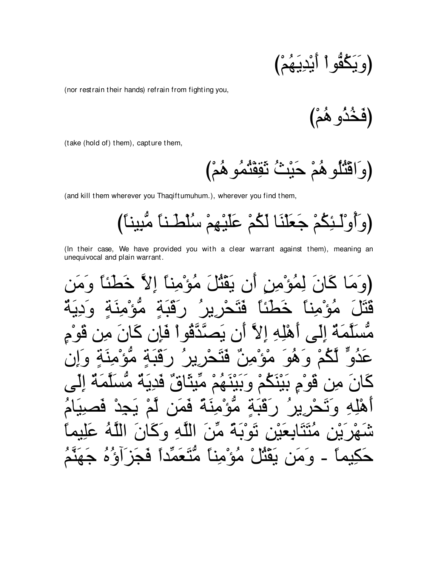(nor restrain their hands) refrain from fighting you,

(فَخُذُو هُمْ)

(take (hold of) them), capture them,

(and kill them wherever you Thaqiftumuhum.), wherever you find them,

(In their case, We have provided you with a clear warrant against them), meaning an unequivocal and plain warrant.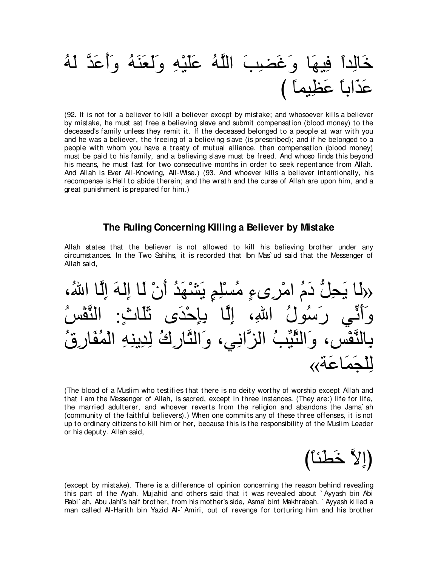

(92. It is not for a believer to kill a believer except by mistake; and whosoever kills a believer by mistake, he must set free a believing slave and submit compensation (blood money) to the deceased's family unless they remit it. If the deceased belonged to a people at war with you and he was a believer, the freeing of a believing slave (is prescribed); and if he belonged to a people with whom you have a treaty of mutual alliance, then compensation (blood money) must be paid to his family, and a believing slave must be freed. And whoso finds this beyond his means, he must fast for two consecutive months in order to seek repentance from Allah. And Allah is Ever All-Knowing, All-Wise.) (93. And whoever kills a believer intentionally, his recompense is Hell to abide therein; and the wrath and the curse of Allah are upon him, and a great punishment is prepared for him.)

# **The Ruling Concerning Killing a Believer by Mistake**

Allah states that the believer is not allowed to kill his believing brother under any circumstances. In the Two Sahihs, it is recorded that Ibn Mas` ud said that the Messenger of Allah said,

ددلما يَحِلَّ دَمُ امْر ِيءِ مُسْلِمٍ يَشْهَدُ أَنْ لَما إِلَهَ إِلَّا اللهُ، وَ أَنِّي رَ سُولُ اللهِ، إِلَّا بِإِحْدَى ثَلَّاتٍ: النَّقْسِ لنّقس، والنّيّبُ الزّانِي، وَالنَّاركُ لِدِينِهِ الْمُفَارِزِ المحَمّل∕

(The blood of a Muslim who testifies that there is no deity worthy of worship except Allah and that I am the Messenger of Allah, is sacred, except in three instances. (They are:) life for life, the married adulterer, and whoever reverts from the religion and abandons the Jama` ah (community of the faithful believers).) When one commits any of these three offenses, it is not up to ordinary citizens to kill him or her, because this is the responsibility of the Muslim Leader or his deputy. Allah said,



(except by mistake). There is a difference of opinion concerning the reason behind revealing this part of the Ayah. Muj ahid and others said that it was revealed about ` Ayyash bin Abi Rabi` ah, Abu Jahl's half brother, from his mother's side, Asma' bint Makhrabah. ` Ayyash killed a man called Al-Harith bin Yazid Al-` Amiri, out of revenge for torturing him and his brother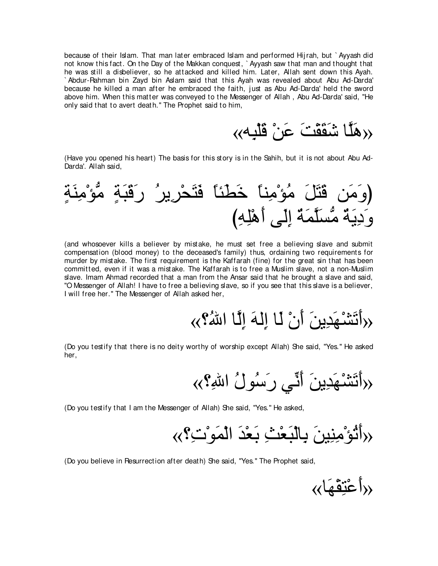because of their Islam. That man later embraced Islam and performed Hijrah, but `Ayyash did not know this fact. On the Day of the Makkan conquest, ` Ayyash saw that man and thought that he was still a disbeliever, so he attacked and killed him. Later, Allah sent down this Ayah. ` Abdur-Rahman bin Zayd bin Aslam said that this Ayah was revealed about Abu Ad-Darda' because he killed a man after he embraced the faith, just as Abu Ad-Darda' held the sword above him. When this matter was conveyed to the Messenger of Allah , Abu Ad-Darda' said, "He only said that to avert death.'' The Prophet said to him,

«هَلَّا شَقَقَّتَ عَنْ قَلْبِهِ»

(Have you opened his heart) The basis for this story is in the Sahih, but it is not about Abu Ad-Darda'. Allah said,

∃る∠レ⌒ョ∇ぽぁョ ∃る∠ら∠ホ∠ケ ⊥ゲΑ⌒ゲ∇エ∠わ∠プ ⇔ゅゃ∠ト∠カ ⇔ゅレ⌒ョ∇ぽ⊥ョ ∠モ∠わ∠ホ リ∠ョ∠ヱぴ び⌒ヮ⌒ヤ∇ワ∠ぺ ヴ∠ャ⌒ま ∀る∠ヨzヤ∠ジぁョ ∀る∠Α⌒キ∠ヱ

(and whosoever kills a believer by mistake, he must set free a believing slave and submit compensation (blood money) to the deceased's family) thus, ordaining two requirements for murder by mistake. The first requirement is the Kaffarah (fine) for the great sin that has been committed, even if it was a mistake. The Kaffarah is to free a Muslim slave, not a non-Muslim slave. Imam Ahmad recorded that a man from the Ansar said that he brought a slave and said, "O Messenger of Allah! I have to free a believing slave, so if you see that this slave is a believer, I will free her.'' The Messenger of Allah asked her,

«∨⊥ぶや ゅzャ⌒ま ∠ヮャ⌒ま ゅ∠ャ ∇ラ∠ぺ ∠リΑ⌒ギ∠ヰ∇ゼ∠ゎ∠ぺ»

(Do you testify that there is no deity worthy of worship except Allah) She said, "Yes.'' He asked her,

«∨⌒ぶや ⊥メヲ⊥シ∠ケ ヶあル∠ぺ ∠リΑ⌒ギ∠ヰ∇ゼ∠ゎ∠ぺ»

(Do you testify that I am the Messenger of Allah) She said, "Yes.'' He asked,

«∨⌒れ∇ヲ∠ヨ∇ャや ∠ギ∇バ∠よ ⌒ゑ∇バ∠ら∇ャゅ⌒よ ∠リΒ⌒レ⌒ョ∇ぽ⊥ゎ∠ぺ»

(Do you believe in Resurrection after death) She said, "Yes.'' The Prophet said,

«الْعَتِقْصَا»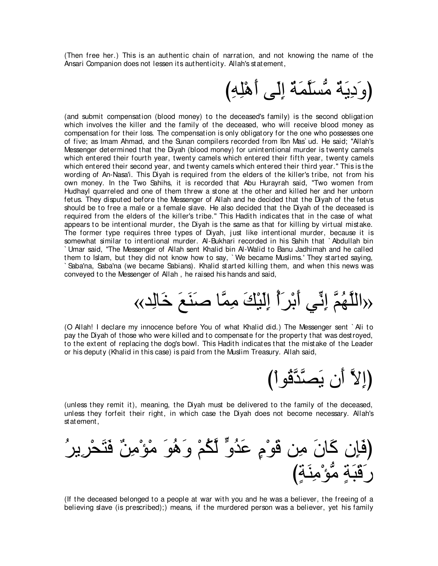(Then free her.) This is an authentic chain of narration, and not knowing the name of the Ansari Companion does not lessen its authenticity. Allah's statement,



(and submit compensation (blood money) to the deceased's family) is the second obligation which involves the killer and the family of the deceased, who will receive blood money as compensation for their loss. The compensation is only obligatory for the one who possesses one of five; as Imam Ahmad, and the Sunan compilers recorded from Ibn Mas` ud. He said; "Allah's Messenger determined that the Diyah (blood money) for unintentional murder is twenty camels which entered their fourth year, twenty camels which entered their fifth year, twenty camels which entered their second year, and twenty camels which entered their third year.'' This is the wording of An-Nasa'i. This Diyah is required from the elders of the killer's tribe, not from his own money. In the Two Sahihs, it is recorded that Abu Hurayrah said, "Two women from Hudhayl quarreled and one of them threw a stone at the other and killed her and her unborn fetus. They disputed before the Messenger of Allah and he decided that the Diyah of the fetus should be to free a male or a female slave. He also decided that the Diyah of the deceased is required from the elders of the killer's tribe.'' This Hadith indicates that in the case of what appears to be intentional murder, the Diyah is the same as that for killing by virtual mistake. The former type requires three types of Diyah, just like intentional murder, because it is somewhat similar to intentional murder. Al-Bukhari recorded in his Sahih that ` Abdullah bin ` Umar said, "The Messenger of Allah sent Khalid bin Al-Walid to Banu Jadhimah and he called them to Islam, but they did not know how to say, ` We became Muslims.' They started saying, ` Saba'na, Saba'na (we became Sabians). Khalid started killing them, and when this news was conveyed to the Messenger of Allah , he raised his hands and said,

«ギ⌒ャゅ∠カ ∠ノ∠レ∠タ ゅzヨ⌒ョ ∠マ∇Β∠ャ⌒ま ⊥ぺ∠ゲ∇よ∠ぺ ヶあル⌒ま zユ⊥ヰzヤャや»

(O Allah! I declare my innocence before You of what Khalid did.) The Messenger sent ` Ali to pay the Diyah of those who were killed and to compensate for the property that was destroyed, to the extent of replacing the dog's bowl. This Hadith indicates that the mistake of the Leader or his deputy (Khalid in this case) is paid from the Muslim Treasury. Allah said,

(إِلاَّ أَن يَصَّدَّقُو أ)

(unless they remit it), meaning, the Diyah must be delivered to the family of the deceased, unless they forfeit their right, in which case the Diyah does not become necessary. Allah's statement,

⊥ゲΑ⌒ゲ∇エ∠わ∠プ ∀リ⌒ョ∇ぽ∇ョ ∠ヲ⊥ワ∠ヱ ∇ユ⊥ムzャ yヱ⊥ギ∠ハ ∃ュ∇ヲ∠ホ リ⌒ョ ∠ラゅ∠ミ ラ⌒み∠プぴ び∃る∠レ⌒ョ∇ぽぁョ ∃る∠ら∠ホ∠ケ

(If the deceased belonged to a people at war with you and he was a believer, the freeing of a believing slave (is prescribed);) means, if the murdered person was a believer, yet his family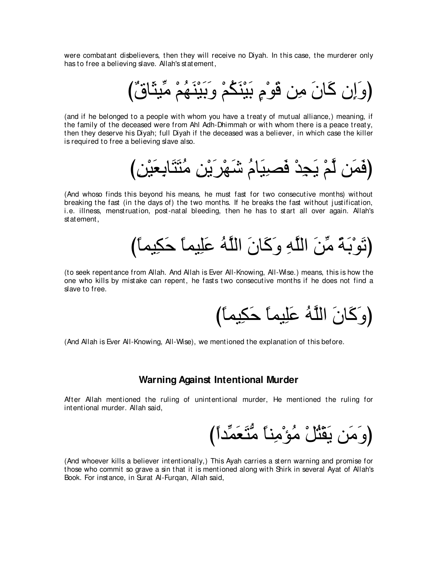were combatant disbelievers, then they will receive no Diyah. In this case, the murderer only has to free a believing slave. Allah's statement,

び∀ベゅ∠んΒあョ ∇ユ⊥ヰ∠レ∇Β∠よ∠ヱ ∇ユ⊥ム∠レ∇Β∠よ ∃ュ∇ヲ∠ホ リ⌒ョ ∠ラゅ∠ミ ラ⌒ま∠ヱぴ

(and if he belonged to a people with whom you have a treaty of mutual alliance,) meaning, if the family of the deceased were from Ahl Adh-Dhimmah or with whom there is a peace treaty, then they deserve his Diyah; full Diyah if the deceased was a believer, in which case the killer is required to free a believing slave also.

び⌒リ∇Β∠バ⌒よゅ∠わ∠わ⊥ョ ⌒リ∇Α∠ゲ∇ヰ∠セ ⊥ュゅ∠Β⌒ダ∠プ ∇ギ⌒イ∠Α ∇ユzャ リ∠ヨ∠プぴ

(And whoso finds this beyond his means, he must fast for two consecutive months) without breaking the fast (in the days of) the two months. If he breaks the fast without justification, i.e. illness, menstruation, post-natal bleeding, then he has to start all over again. Allah's statement,

び⇔ゅヨΒ⌒ム∠ェ ⇔ゅヨΒ⌒ヤ∠ハ ⊥ヮzヤャや ∠ラゅ∠ミ∠ヱ ⌒ヮzヤャや ∠リあョ ⇔る∠よ∇ヲ∠ゎぴ

(to seek repentance from Allah. And Allah is Ever All-Knowing, All-Wise.) means, this is how the one who kills by mistake can repent, he fasts two consecutive months if he does not find a slave to free.

び⇔ゅヨΒ⌒ム∠ェ ⇔ゅヨΒ⌒ヤ∠ハ ⊥ヮzヤャや ∠ラゅ∠ミ∠ヱぴ

(And Allah is Ever All-Knowing, All-Wise), we mentioned the explanation of this before.

## **Warning Against Intentional Murder**

After Allah mentioned the ruling of unintentional murder, He mentioned the ruling for intentional murder. Allah said,

び⇔やギあヨ∠バ∠わぁョ ⇔ゅレ⌒ョ∇ぽ⊥ョ ∇モ⊥わ∇ボ∠Α リ∠ョ∠ヱぴ

(And whoever kills a believer intentionally,) This Ayah carries a stern warning and promise for those who commit so grave a sin that it is mentioned along with Shirk in several Ayat of Allah's Book. For instance, in Surat Al-Furqan, Allah said,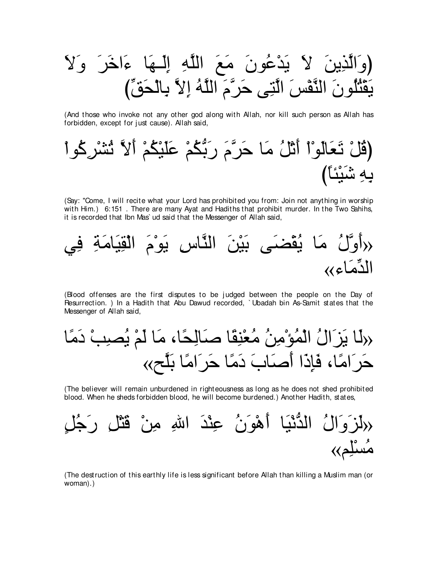(وَالَّذِينَ لاَ يَدْعُونَ مَعَ اللَّهِ إِلَـهَا ءَاخَرَ وَلاَ يَقْتُلُونَ النَّقْسَ الَّتِي حَرَّمَ اللَّهُ إِلاَّ بِالْحَقِّ)

(And those who invoke not any other god along with Allah, nor kill such person as Allah has forbidden, except for just cause). Allah said,



(Say: "Come, I will recite what your Lord has prohibited you from: Join not anything in worship with Him.) 6:151. There are many Ayat and Hadiths that prohibit murder. In the Two Sahihs, it is recorded that Ibn Mas` ud said that the Messenger of Allah said,



(Blood offenses are the first disputes to be j udged between the people on the Day of Resurrection. ) In a Hadith that Abu Dawud recorded, ` Ubadah bin As-Samit states that the Messenger of Allah said,

ゅ⇔ョ∠キ ∇ょ⌒ダ⊥Α ∇ユ∠ャ ゅ∠ョ ∩ゅ⇔エ⌒ャゅ∠タ ゅ⇔ボ⌒レ∇バ⊥ョ ⊥リ⌒ョ∇ぽ⊥ヨ∇ャや ⊥メや∠ゴ∠Α ゅ∠ャ» «ウzヤ∠よ ゅ⇔ョや∠ゲ∠ェ ゅ⇔ョ∠キ ∠ゆゅ∠タ∠ぺ や∠ク⌒み∠プ ∩ゅ⇔ョや∠ゲ∠ェ

(The believer will remain unburdened in righteousness as long as he does not shed prohibited blood. When he sheds forbidden blood, he will become burdened.) Another Hadith, states,



(The destruction of this earthly life is less significant before Allah than killing a Muslim man (or woman).)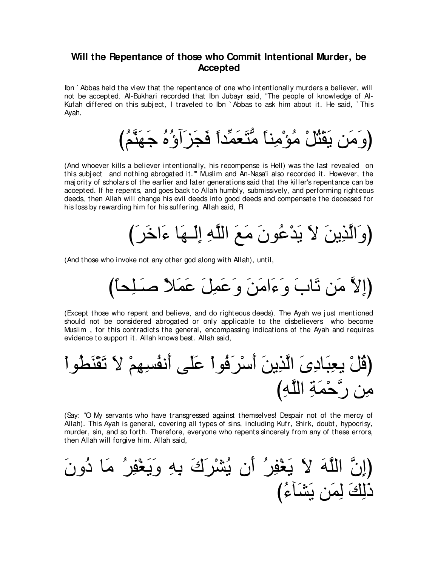# **Will the Repentance of those who Commit Intentional Murder, be Accepted**

Ibn ` Abbas held the view that the repentance of one who intentionally murders a believer, will not be accepted. Al-Bukhari recorded that Ibn Jubayr said, "The people of knowledge of Al-Kufah differed on this subject, I traveled to Ibn `Abbas to ask him about it. He said, `This Ayah,

び⊥ユzレ∠ヰ∠ィ ⊥ロ⊥ぼへ∠ゴ∠イ∠プ ⇔やギあヨ∠バ∠わぁョ ⇔ゅレ⌒ョ∇ぽ⊥ョ ∇モ⊥わ∇ボ∠Α リ∠ョ∠ヱぴ

(And whoever kills a believer intentionally, his recompense is Hell) was the last revealed on this subj ect and nothing abrogated it.''' Muslim and An-Nasa'i also recorded it. However, the majority of scholars of the earlier and later generations said that the killer's repentance can be accepted. If he repents, and goes back to Allah humbly, submissively, and performing righteous deeds, then Allah will change his evil deeds into good deeds and compensate the deceased for his loss by rewarding him for his suffering. Allah said, R

(وَالَّذِينَ لاَ يَدْعُونَ مَعَ اللَّهِ إِلَـهَا ءَاخَرَ)

(And those who invoke not any other god along with Allah), until,

び⇔ゅエ⌒ヤ⇒∠タ ⇔Κ∠ヨ∠ハ ∠モ⌒ヨ∠ハ∠ヱ ∠リ∠ョや∠¬∠ヱ ∠ゆゅ∠ゎ リ∠ョ zΙ⌒まぴ

(Except those who repent and believe, and do righteous deeds). The Ayah we just mentioned should not be considered abrogated or only applicable to the disbelievers who become Muslim , for this contradicts the general, encompassing indications of the Ayah and requires evidence to support it. Allah knows best. Allah said,

∇やヲ⊥ト∠レ∇ボ∠ゎ ∠Ι ∇ユ⌒ヰ⌒ジ⊥ヘル∠ぺ ヴ∠ヤ∠ハ ∇やヲ⊥プ∠ゲ∇シ∠ぺ ∠リΑ⌒グzャや ∠ン⌒キゅ∠ら⌒バΑ ∇モ⊥ホぴ び⌒ヮzヤャや ⌒る∠ヨ∇ェzケ リ⌒ョ

(Say: "O My servants who have transgressed against themselves! Despair not of the mercy of Allah). This Ayah is general, covering all types of sins, including Kufr, Shirk, doubt, hypocrisy, murder, sin, and so forth. Therefore, everyone who repents sincerely from any of these errors, then Allah will forgive him. Allah said,

∠ラヱ⊥キ ゅ∠ョ ⊥ゲ⌒ヘ∇ピ∠Α∠ヱ ⌒ヮ⌒よ ∠ポ∠ゲ∇ゼ⊥Α ラ∠ぺ ⊥ゲ⌒ヘ∇ピ∠Α ∠Ι ∠ヮzヤャや zラ⌒まぴ び⊥¬べ∠ゼ∠Α リ∠ヨ⌒ャ ∠マ⌒ャ∠ク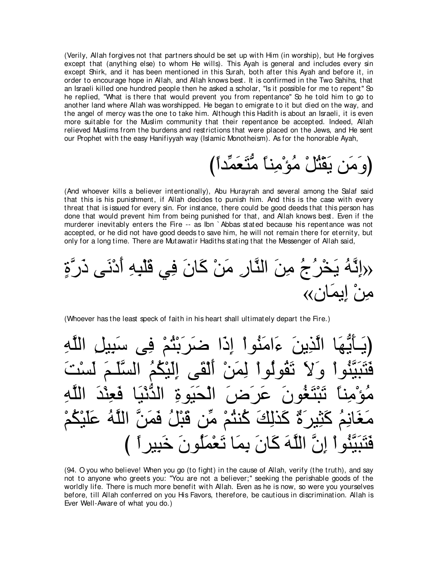(Verily, Allah forgives not that partners should be set up with Him (in worship), but He forgives except that (anything else) to whom He wills). This Avah is general and includes every sin except Shirk, and it has been mentioned in this Surah, both after this Avah and before it, in order to encourage hope in Allah, and Allah knows best. It is confirmed in the Two Sahihs, that an Israeli killed one hundred people then he asked a scholar. "Is it possible for me to repent" So he replied, "What is there that would prevent you from repentance" So he told him to go to another land where Allah was worshipped. He began to emigrate to it but died on the way, and the angel of mercy was the one to take him. Although this Hadith is about an Israeli, it is even more suitable for the Muslim community that their repentance be accepted. Indeed, Allah relieved Muslims from the burdens and restrictions that were placed on the Jews, and He sent our Prophet with the easy Hanifiyyah way (Islamic Monotheism). As for the honorable Ayah,

(And whoever kills a believer intentionally), Abu Hurayrah and several among the Salaf said that this is his punishment, if Allah decides to punish him. And this is the case with every threat that is issued for every sin. For instance, there could be good deeds that this person has done that would prevent him from being punished for that, and Allah knows best. Even if the murderer inevitably enters the Fire -- as Ibn `Abbas stated because his repentance was not accepted, or he did not have good deeds to save him, he will not remain there for eternity, but only for a long time. There are Mutawatir Hadiths stating that the Messenger of Allah said.

(Whoever has the least speck of faith in his heart shall ultimately depart the Fire.)

(يَنَّايُّهاَ الَّذِينَ ءَامَنُواٌ اِداَ حَنَرَنَّمُّوٌ في سَبِيلِ الَلَّهِ
$$
\frac{2}{3}
$$
عَوَلُواٍ لِمَنُ أَلَقَى إَلَيُكُمُ السُلَّمَ لَسُتَ مُوُمِنَا تَبَّتَغُونَ عَرَضَ الُحَيَوِةِ الَدُّثَيَّا أَعَوِنُدَ الَلَّهِ مَنَّالَلَّهُ عَلَيُكُمُ مَنَّالَلَّهُ عَلَيُكُمُ وَنَيَّنَّلِلَّهُ عَلَيُكُمُ مَنَّالَلَهُ عَلَيُكُمُ

(94. O you who believe! When you go (to fight) in the cause of Allah, verify (the truth), and say not to anyone who greets you: "You are not a believer;" seeking the perishable goods of the worldly life. There is much more benefit with Allah. Even as he is now, so were you yourselves before, till Allah conferred on you His Favors, therefore, be cautious in discrimination. Allah is Ever Well-Aware of what you do.)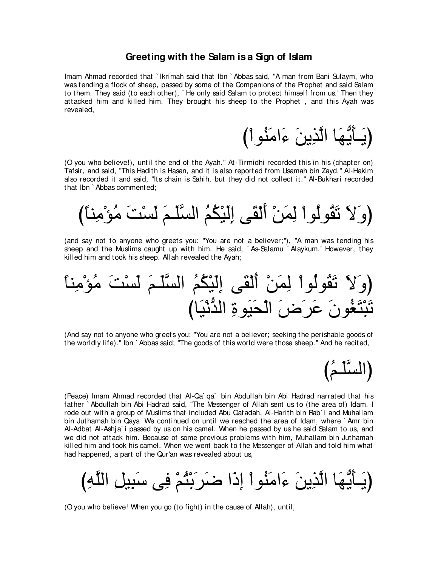## **Greeting with the Salam is a Sign of Islam**

Imam Ahmad recorded that ` Ikrimah said that Ibn ` Abbas said, "A man from Bani Sulaym, who was tending a flock of sheep, passed by some of the Companions of the Prophet and said Salam to them. They said (to each other), ` He only said Salam to protect himself from us.' Then they attacked him and killed him. They brought his sheep to the Prophet , and this Ayah was revealed,

(يَـأَيُّـهَا الَّذِينَ ءَامَنُو أَ)

(O you who believe!), until the end of the Ayah.'' At-Tirmidhi recorded this in his (chapter on) Tafsir, and said, "This Hadith is Hasan, and it is also reported from Usamah bin Zayd.'' Al-Hakim also recorded it and said, "Its chain is Sahih, but they did not collect it.'' Al-Bukhari recorded that Ibn ` Abbas commented;

び⇔ゅレ⌒ョ∇ぽ⊥ョ ∠ろ∇ジ∠ャ ∠ユ⇒∠ヤzジャや ⊥ユ⊥ム∇Β∠ャ⌒ま ヴ∠ボ∇ャ∠ぺ ∇リ∠ヨ⌒ャ ∇やヲ⊥ャヲ⊥ボ∠ゎ ∠Ι∠ヱぴ

(and say not to anyone who greets you: "You are not a believer;''), "A man was tending his sheep and the Muslims caught up with him. He said, ` As-Salamu ` Alaykum.' However, they killed him and took his sheep. Allah revealed the Ayah;

⇔ゅレ⌒ョ∇ぽ⊥ョ ∠ろ∇ジ∠ャ ∠ユ⇒∠ヤzジャや ⊥ユ⊥ム∇Β∠ャ⌒ま ヴ∠ボ∇ャ∠ぺ ∇リ∠ヨ⌒ャ ∇やヲ⊥ャヲ⊥ボ∠ゎ ∠Ι∠ヱぴ びゅ∠Β∇ルぁギャや ⌒りヲ∠Β∠エ∇ャや ∠チ∠ゲ∠ハ ∠ラヲ⊥ピ∠わ∇ら∠ゎ

(And say not to anyone who greets you: "You are not a believer; seeking the perishable goods of the worldly life).'' Ibn ` Abbas said; "The goods of this world were those sheep.'' And he recited,

(السَّلَـمُ)

(Peace) Imam Ahmad recorded that Al-Qa` qa` bin Abdullah bin Abi Hadrad narrated that his father ` Abdullah bin Abi Hadrad said, "The Messenger of Allah sent us to (the area of) Idam. I rode out with a group of Muslims that included Abu Qatadah, Al-Harith bin Rab` i and Muhallam bin Juthamah bin Qays. We continued on until we reached the area of Idam, where ` Amr bin Al-Adbat Al-Ashia i passed by us on his camel. When he passed by us he said Salam to us, and we did not attack him. Because of some previous problems with him, Muhallam bin Juthamah killed him and took his camel. When we went back to the Messenger of Allah and told him what had happened, a part of the Qur'an was revealed about us,



(O you who believe! When you go (to fight) in the cause of Allah), until,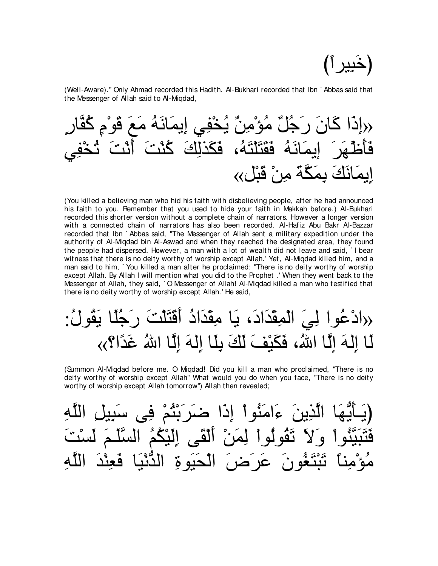خبير ا

(Well-Aware)." Only Ahmad recorded this Hadith. Al-Bukhari recorded that Ibn `Abbas said that the Messenger of Allah said to Al-Migdad,



(You killed a believing man who hid his faith with disbelieving people, after he had announced his faith to you. Remember that you used to hide your faith in Makkah before.) Al-Bukhari recorded this shorter version without a complete chain of narrators. However a longer version with a connected chain of narrators has also been recorded. Al-Hafiz Abu Bakr Al-Bazzar recorded that Ibn `Abbas said, "The Messenger of Allah sent a military expedition under the authority of Al-Migdad bin Al-Aswad and when they reached the designated area, they found the people had dispersed. However, a man with a lot of wealth did not leave and said, I bear witness that there is no deity worthy of worship except Allah.' Yet, Al-Migdad killed him, and a man said to him, `You killed a man after he proclaimed: "There is no deity worthy of worship except Allah. By Allah I will mention what you did to the Prophet .' When they went back to the Messenger of Allah, they said, `O Messenger of Allah! Al-Migdad killed a man who testified that there is no deity worthy of worship except Allah.' He said,

«ادْعُوا لِيَ الْمِقْدَادَ، يَا مِقْدَادُ أَقْتَلْتَ رَجُلًا يَقُولُ: لَمَا إِلَٰهَ إِلَّا اللَّهُ، فَكَيْفَ لَكَ بِلَّا إِلٰهَ إِلَّا اللَّهُ غَدًا؟ ﴾

(Summon Al-Migdad before me. O Migdad! Did you kill a man who proclaimed, "There is no deity worthy of worship except Allah" What would you do when you face, "There is no deity worthy of worship except Allah tomorrow") Allah then revealed;

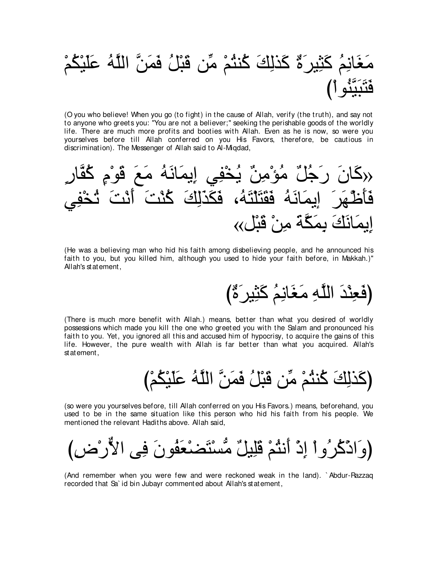# مُ كَثِيرَةٌ كَذَلِكَ كُنْثُمْ مِّن قَبْلُ فَمَنَّ اللَّهُ عَلَيْكُمْ

(O you who believe! When you go (to fight) in the cause of Allah, verify (the truth), and say not to anyone who greets you: "You are not a believer:" seeking the perishable goods of the worldly life. There are much more profits and booties with Allah. Even as he is now, so were you yourselves before till Allah conferred on you His Favors, therefore, be cautious in discrimination). The Messenger of Allah said to Al-Migdad,



(He was a believing man who hid his faith among disbelieving people, and he announced his faith to you, but you killed him, although you used to hide your faith before, in Makkah.)" Allah's statement,

(فَعِنْدَ اللَّهِ مَغَانِمُ كَثِيرَةٌ)

(There is much more benefit with Allah.) means, better than what you desired of worldly possessions which made you kill the one who greeted you with the Salam and pronounced his faith to you. Yet, you ignored all this and accused him of hypocrisy, to acquire the gains of this life. However, the pure wealth with Allah is far better than what you acquired. Allah's statement.

(كَذَلِكَ كُنْتُمْ مِّن قَبْلُ فَمَنَّ اللَّهُ عَلَيْكُمْ)

(so were you yourselves before, till Allah conferred on you His Favors.) means, beforehand, you used to be in the same situation like this person who hid his faith from his people. We mentioned the relevant Hadiths above. Allah said,

(وَادْكُرُواْ إِدْ أَنِثُمْ قَلِيلٌ مُّسْتَضِبْعَفُو نَ فِي الأُرْ ْضِ )

(And remember when you were few and were reckoned weak in the land). `Abdur-Razzag recorded that Sa' id bin Jubayr commented about Allah's statement,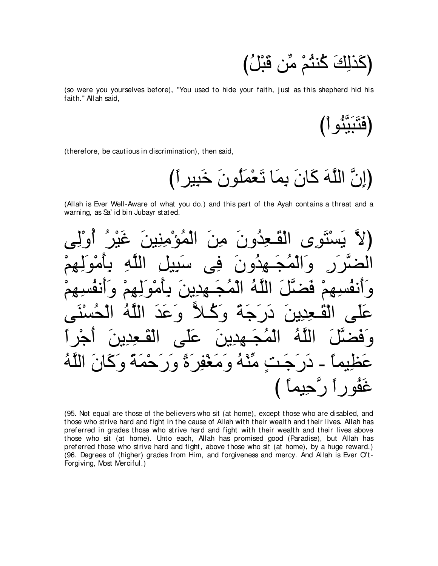(كَذَلِكَ كُنْثُمْ مِّن قَبْلُ)

(so were you yourselves before), "You used to hide your faith, just as this shepherd hid his faith." Allah said,

(فَتَبَيَّتُو أ

(therefore, be cautious in discrimination), then said,

(إِنَّ اللَّهَ كَانَ بِمَا تَعْمَلُونَ خَبِيرٍ أَ)

(Allah is Ever Well-Aware of what you do.) and this part of the Ayah contains a threat and a warning, as Sa' id bin Jubayr stated.

الفْ $\frac{1}{2}$ بَسْنْثُورِي حِذُو نِ مِنِ الْمُؤْمِنِينِ  $110$  $\Delta$  $\bullet$ القعدد  $\mathbf C$ ےدن'، d بِ مَنْـهُ وَ مَغْفِرْ َةً وَ رَ حمه و کان غَفُو ر

(95. Not equal are those of the believers who sit (at home), except those who are disabled, and those who strive hard and fight in the cause of Allah with their wealth and their lives. Allah has preferred in grades those who strive hard and fight with their wealth and their lives above those who sit (at home). Unto each, Allah has promised good (Paradise), but Allah has preferred those who strive hard and fight, above those who sit (at home), by a huge reward.) (96. Degrees of (higher) grades from Him, and forgiveness and mercy. And Allah is Ever Oft-Forgiving, Most Merciful.)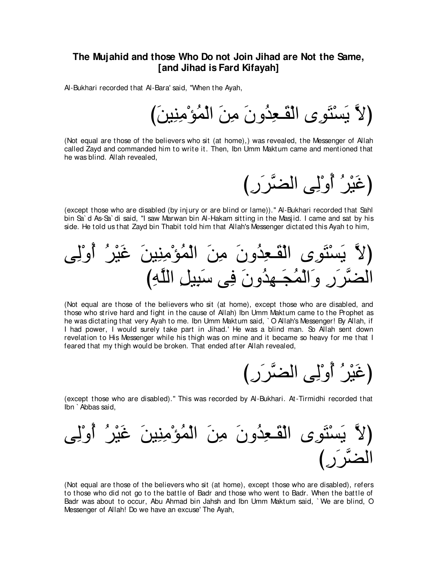## **The Mujahid and those Who Do not Join Jihad are Not the Same, [and Jihad is Fard Kifayah]**

Al-Bukhari recorded that Al-Bara' said, "When the Ayah,

(لاَّ يَسْتَوِي الْقَـعِدُونَ مِنَ الْمُؤْمِنِينَ)

(Not equal are those of the believers who sit (at home),) was revealed, the Messenger of Allah called Zayd and commanded him to write it. Then, Ibn Umm Maktum came and mentioned that he was blind. Allah revealed,

(غَيْرُ أُوْلِي الضَّرَرَ )

(except those who are disabled (by inj ury or are blind or lame)).'' Al-Bukhari recorded that Sahl bin Sa` d As-Sa` di said, "I saw Marwan bin Al-Hakam sitting in the Masj id. I came and sat by his side. He told us that Zayd bin Thabit told him that Allah's Messenger dictated this Ayah to him,

ヴ⌒ャ∇ヱ⊥ぺ ⊥ゲ∇Β∠ビ ∠リΒ⌒レ⌒ョ∇ぽ⊥ヨ∇ャや ∠リ⌒ョ ∠ラヱ⊥ギ⌒バ⇒∠ボ∇ャや ン⌒ヲ∠わ∇ジ∠Α zΙぴ び⌒ヮzヤャや ⌒モΒ⌒ら∠シ ヴ⌒プ ∠ラヱ⊥ギ⌒ヰ⇒∠イ⊥ヨ∇ャや∠ヱ ⌒ケ∠ゲzツャや

(Not equal are those of the believers who sit (at home), except those who are disabled, and those who strive hard and fight in the cause of Allah) Ibn Umm Maktum came to the Prophet as he was dictating that very Ayah to me. Ibn Umm Maktum said, ` O Allah's Messenger! By Allah, if I had power, I would surely take part in Jihad.' He was a blind man. So Allah sent down revelation to His Messenger while his thigh was on mine and it became so heavy for me that I feared that my thigh would be broken. That ended after Allah revealed,

(غَيْرُ أُوْلِي الضَّرَرِ )

(except those who are disabled).'' This was recorded by Al-Bukhari. At-Tirmidhi recorded that Ibn ` Abbas said,

ヴ⌒ャ∇ヱ⊥ぺ ⊥ゲ∇Β∠ビ ∠リΒ⌒レ⌒ョ∇ぽ⊥ヨ∇ャや ∠リ⌒ョ ∠ラヱ⊥ギ⌒バ⇒∠ボ∇ャや ン⌒ヲ∠わ∇ジ∠Α zΙぴ び⌒ケ∠ゲzツャや

(Not equal are those of the believers who sit (at home), except those who are disabled), refers to those who did not go to the battle of Badr and those who went to Badr. When the battle of Badr was about to occur, Abu Ahmad bin Jahsh and Ibn Umm Maktum said, ` We are blind, O Messenger of Allah! Do we have an excuse' The Ayah,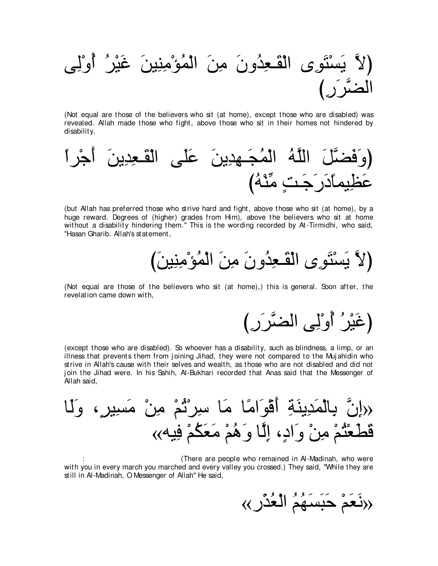(لاَ يَسْتَوِي الْقَـعِدُونَ مِنَ الْمُؤْمِنِينَ غَيْرُ أُوْلِي

(Not equal are those of the believers who sit (at home), except those who are disabled) was revealed. Allah made those who fight, above those who sit in their homes not hindered by disability.



(but Allah has preferred those who strive hard and fight, above those who sit (at home), by a huge reward. Degrees of (higher) grades from Him), above the believers who sit at home without a disability hindering them." This is the wording recorded by At-Tirmidhi, who said, "Hasan Gharib. Allah's statement,

(لاَّ يَسْتَوِي الْقَـعِدُونَ مِنَ الْمُؤْمِنِينَ)

(Not equal are those of the believers who sit (at home),) this is general. Soon after, the revelation came down with,

(غَيْرُ أُوْلِّي الْضَّرَرِ)

(except those who are disabled). So whoever has a disability, such as blindness, a limp, or an illness that prevents them from joining Jihad, they were not compared to the Mujahidin who strive in Allah's cause with their selves and wealth, as those who are not disabled and did not join the Jihad were. In his Sahih, Al-Bukhari recorded that Anas said that the Messenger of Allah said.

(There are people who remained in Al-Madinah, who were with you in every march you marched and every valley you crossed.) They said, "While they are still in Al-Madinah, O Messenger of Allah" He said,

«نَعَمْ حَبَسَهُمُ الْعُدْرِ »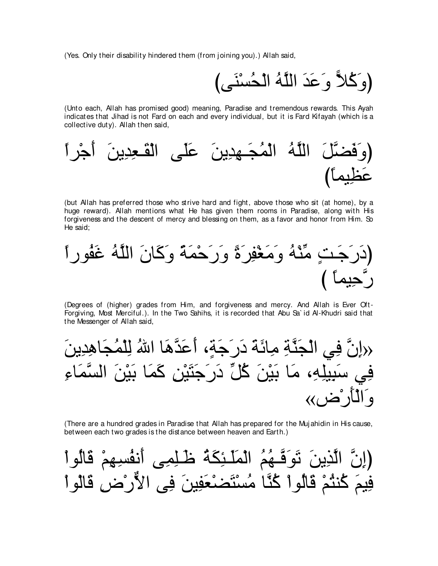(Yes. Only their disability hindered them (from joining you).) Allah said,

(وَكَلاً وَ عَدَ اللَّهُ الْحُسْنَى)

(Unto each, Allah has promised good) meaning, Paradise and tremendous rewards. This Ayah indicates that Jihad is not Fard on each and every individual, but it is Fard Kifayah (which is a collective duty). Allah then said,



(but Allah has preferred those who strive hard and fight, above those who sit (at home), by a huge reward). Allah mentions what He has given them rooms in Paradise, along with His forgiveness and the descent of mercy and blessing on them, as a favor and honor from Him. So He said;



(Degrees of (higher) grades from Him, and forgiveness and mercy. And Allah is Ever Oft-Forgiving, Most Merciful.). In the Two Sahihs, it is recorded that Abu Sa` id Al-Khudri said that the Messenger of Allah said,

√داِنَّ فِي الْجَذَّةِ مِائَةَ دَرَجَةٍ، أَعَدَّهَا اللهُ لِلْمُجَاهِدِينَ فِی سَبِیلِهِ، مَا بَیْنَ کُلِّ دَرَجَتَیْنِ کَمَا بَیْنَ السَّمَـ و َالْمَارِ °هنر ،>>

(There are a hundred grades in Paradise that Allah has prepared for the Muj ahidin in His cause, between each two grades is the distance between heaven and Earth.)

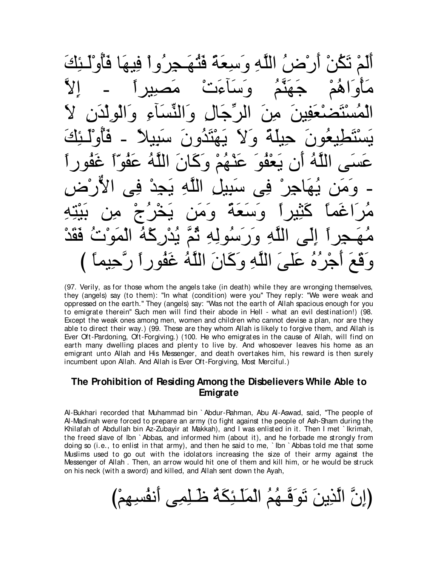غِرِ ِ اللَّٰهِ وَ سِعَةً فَثَّهَ جِرٍ وَ أَ فِيهَا فَأَوْ لَٰٓئِكَ حَاقَوَاهُمْ جَهَنَّمُ وَسَاءَتْ مَصنِيراً ـ إِلاَّ الْمُسْتَضْحَفِينَ مِنَ الرِّجَالِ وَالنَّسَاءِ وَالْوِلْدَنِ لاَ بَسْتَطْيِعُونَ حِيلَةً وَلاَ يَهْتَدُونَ سَبِيلاً − فَأَوْلَـئِكَ عَسَى اللَّهُ أَن يَعْفُوَ عَذْهُمْ وَكَانَ اللَّهُ عَفُو ًا غَفُورٍ أَ − وَمَن يُهَاجِرُ فِي سَبِيلِ اللَّهِ يَجِدْ فِي الأَرْض مُرَاغَماً كَثِيراً وَسَعَةً وَمَن يَخْرُجْ مِن بَيْنِهِ مُهَجِراً إِلَى اللَّهِ وَرَسْوَلِهِ ثُمَّ يُدْرِكَهُ الْمَوْتُ فَقَدْ عَلىَ اللّهِ وَكَانَ اللّهُ غَفُو ر

(97. Verily, as for those whom the angels take (in death) while they are wronging themselves, they (angels) say (to them): "In what (condition) were you'' They reply: "We were weak and oppressed on the earth.'' They (angels) say: "Was not the earth of Allah spacious enough for you to emigrate therein'' Such men will find their abode in Hell - what an evil destination!) (98. Except the weak ones among men, women and children who cannot devise a plan, nor are they able to direct their way.) (99. These are they whom Allah is likely to forgive them, and Allah is Ever Oft-Pardoning, Oft-Forgiving.) (100. He who emigrates in the cause of Allah, will find on earth many dwelling places and plenty to live by. And whosoever leaves his home as an emigrant unto Allah and His Messenger, and death overtakes him, his reward is then surely incumbent upon Allah. And Allah is Ever Oft-Forgiving, Most Merciful.)

## **The Prohibition of Residing Among the Disbelievers While Able to Emigrate**

Al-Bukhari recorded that Muhammad bin ` Abdur-Rahman, Abu Al-Aswad, said, "The people of Al-Madinah were forced to prepare an army (to fight against the people of Ash-Sham during the Khilafah of Abdullah bin Az-Zubayir at Makkah), and I was enlisted in it. Then I met ` Ikrimah, the freed slave of Ibn ` Abbas, and informed him (about it), and he forbade me strongly from doing so (i.e., to enlist in that army), and then he said to me, ` Ibn ` Abbas told me that some Muslims used to go out with the idolators increasing the size of their army against the Messenger of Allah . Then, an arrow would hit one of them and kill him, or he would be struck on his neck (with a sword) and killed, and Allah sent down the Ayah,

(إِنَّ الَّذِينَ نَوَفَّـهُمُ الْمَلَـئِكَةُ طَـلِمِي أَنفُسِهِمْ)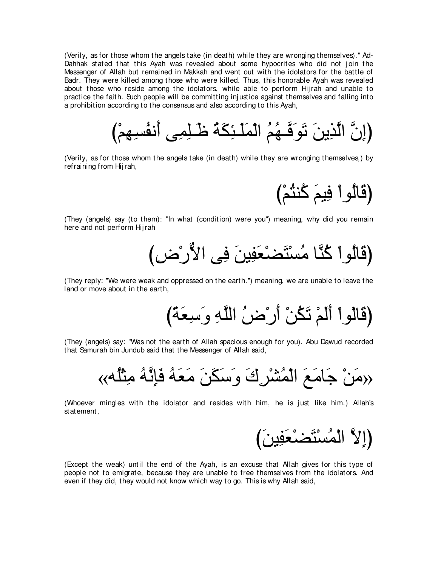(Verily, as for those whom the angels take (in death) while they are wronging themselves).'' Ad-Dahhak stated that this Ayah was revealed about some hypocrites who did not join the Messenger of Allah but remained in Makkah and went out with the idolators for the battle of Badr. They were killed among those who were killed. Thus, this honorable Ayah was revealed about those who reside among the idolators, while able to perform Hijrah and unable to practice the faith. Such people will be committing inj ustice against themselves and falling into a prohibition according to the consensus and also according to this Ayah,

(إِنَّ الَّذِينَ تَوَفَّـهُمُ الْمَلَـئِكَةُ طَـلِمِي أَنفُسِهِمْ)

(Verily, as for those whom the angels take (in death) while they are wronging themselves,) by refraining from Hijrah,

(قَالُو ا فِيمَ كَنْثُمْ)

(They (angels) say (to them): "In what (condition) were you'') meaning, why did you remain here and not perform Hijrah



(They reply: "We were weak and oppressed on the earth.'') meaning, we are unable to leave the land or move about in the earth,

び⇔る∠バ⌒シ∠ヱ ⌒ヮzヤャや ⊥チ∇ケ∠ぺ ∇リ⊥ム∠ゎ ∇ユ∠ャ∠ぺ ∇やヲ∇ャゅ∠ホぴ

(They (angels) say: "Was not the earth of Allah spacious enough for you). Abu Dawud recorded that Samurah bin Jundub said that the Messenger of Allah said,

«ヮ⊥ヤ∇ん⌒ョ ⊥ヮzル⌒み∠プ ⊥ヮ∠バ∠ョ ∠リ∠ム∠シ∠ヱ ∠ポ⌒ゲ∇ゼ⊥ヨ∇ャや ∠ノ∠ョゅ∠ィ ∇リ∠ョ»

(Whoever mingles with the idolator and resides with him, he is just like him.) Allah's statement,

(إِلاَّ الْمُسْتَضنْعَفِينَ)

(Except the weak) until the end of the Ayah, is an excuse that Allah gives for this type of people not to emigrate, because they are unable to free themselves from the idolators. And even if they did, they would not know which way to go. This is why Allah said,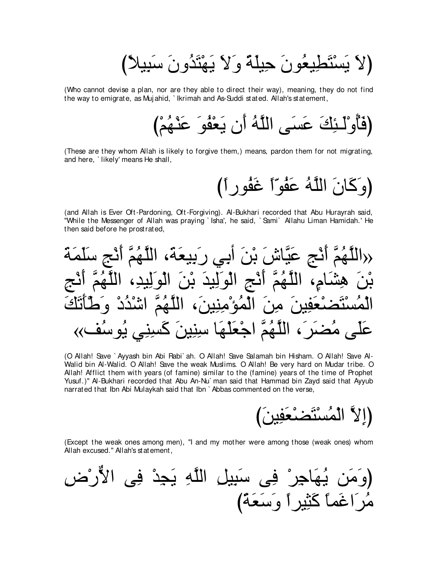(لا يَسْتَطِيعُونَ حِيلَةً وَلا يَهْتَدُونَ سَبِيلا

(Who cannot devise a plan, nor are they able to direct their way), meaning, they do not find the way to emigrate, as Muj ahid, ` Ikrimah and As-Suddi stated. Allah's statement,

び∇ユ⊥ヰ∇レ∠ハ ∠ヲ⊥ヘ∇バ∠Α ラ∠ぺ ⊥ヮzヤャや ヴ∠ジ∠ハ ∠マ⌒ゃ⇒∠ャ∇ヱ⊥ほ∠プぴ

(These are they whom Allah is likely to forgive them,) means, pardon them for not migrating, and here, ` likely' means He shall,

(وَكَانَ اللَّهُ عَفُورَاً }

(and Allah is Ever Oft-Pardoning, Oft-Forgiving). Al-Bukhari recorded that Abu Hurayrah said, "While the Messenger of Allah was praying ` Isha', he said, ` Sami` Allahu Liman Hamidah.' He then said before he prostrated,

∠る∠ヨ∠ヤ∠シ ⌒ア∇ル∠ぺ zユ⊥ヰzヤャや ∩∠る∠バΒ⌒よ∠ケ ヶ⌒よぺ ∠リ∇よ ∠スゅzΒ∠ハ ⌒ア∇ル∠ぺ zユ⊥ヰzヤャや» ⌒ア∇ル∠ぺ zユ⊥ヰzヤャや ∩⌒ギΒ⌒ャ∠ヲ∇ャや ∠リ∇よ ∠ギΒ⌒ャ∠ヲ∇ャや ⌒ア∇ル∠ぺ zユ⊥ヰzヤャや ∩∃ュゅ∠ゼ⌒ワ ∠リ∇よ ∠マ∠ゎ∠ほ∇デ∠ヱ ∇キ⊥ギ∇セや zユ⊥ヰzヤャや ∩∠リΒ⌒レ⌒ョ∇ぽ⊥ヨ∇ャや ∠リ⌒ョ ∠リΒ⌒ヘ∠バ∇ツ∠わ∇ジ⊥ヨ∇ャや «ブ⊥シヲ⊥Α ヶ⌒レ⌒ジ∠ミ ∠リΒ⌒レ⌒シ ゅ∠ヰ∇ヤ∠バ∇ィや zユ⊥ヰzヤャや ∩∠ゲ∠ツ⊥ョ ヴ∠ヤ∠ハ

(O Allah! Save ` Ayyash bin Abi Rabi` ah. O Allah! Save Salamah bin Hisham. O Allah! Save Al-Walid bin Al-Walid. O Allah! Save the weak Muslims. O Allah! Be very hard on Mudar tribe. O Allah! Afflict them with years (of famine) similar to the (famine) years of the time of Prophet Yusuf.)'' Al-Bukhari recorded that Abu An-Nu` man said that Hammad bin Zayd said that Ayyub narrated that Ibn Abi Mulaykah said that Ibn ` Abbas commented on the verse,

び∠リΒ⌒ヘ∠バ∇ツ∠わ∇ジ⊥ヨ∇ャや zΙ⌒まぴ

(Except the weak ones among men), "I and my mother were among those (weak ones) whom Allah excused.'' Allah's statement,

⌒チ∇ケxΙや ヴ⌒プ ∇ギ⌒イ∠Α ⌒ヮzヤャや ⌒モΒ⌒ら∠シ ヴ⌒プ ∇ゲ⌒ィゅ∠ヰ⊥Α リ∠ョ∠ヱぴ び⇔る∠バ∠シ∠ヱ ⇔やゲΒ⌒ん∠ミ ⇔ゅヨ∠ビや∠ゲ⊥ョ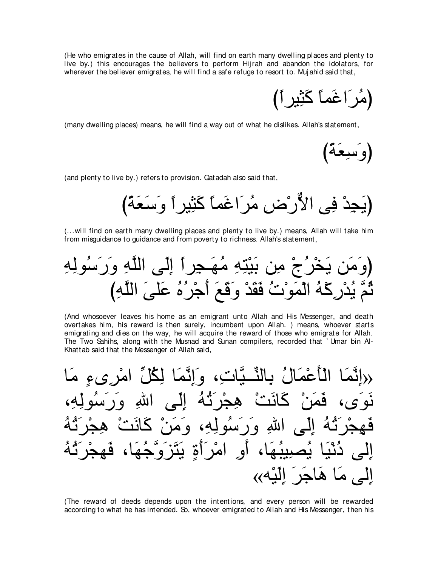(He who emigrates in the cause of Allah, will find on earth many dwelling places and plenty to live by.) this encourages the believers to perform Hijrah and abandon the idolators, for wherever the believer emigrates, he will find a safe refuge to resort to. Mujahid said that,

(مُر َاغَماً كَثِيرِ أ

(many dwelling places) means, he will find a way out of what he dislikes. Allah's statement,

(و سيعة∫

(and plenty to live by.) refers to provision. Qatadah also said that,

ِّفِي الأَرِ ْضٍ مُرَ اغَماً كَثِيرٍ أَ وَسَعَةً)

(...will find on earth many dwelling places and plenty to live by.) means, Allah will take him from misguidance to guidance and from poverty to richness. Allah's statement,

ِہِخَرَ جَ مِن بَيْتِهِ مَهَجِرٍ أَ إِلَى اللَّهِ وَرَ سُولِهِ ِيَدْرِكِمُ الْمَوْتُ فَقَدْ وَقَعَ أَجْرُهُ عَلَىَ اللَّهِ)

(And whosoever leaves his home as an emigrant unto Allah and His Messenger, and death overtakes him, his reward is then surely, incumbent upon Allah. ) means, whoever starts emigrating and dies on the way, he will acquire the reward of those who emigrate for Allah. The Two Sahihs, along with the Musnad and Sunan compilers, recorded that ` Umar bin Al-Khattab said that the Messenger of Allah said,

حداثَّمَـا الْأَعْمَالُ بِالنِّـبِّاتِ، وَإِنَّمَا لِكُلِّ امْرِيء مَا نَوَى، فَمَنْ كَانَتْ هِجْرَتْهُ إِلَى اللهِ وَرَسْولِهِ، فَهجْرَتُهُ اِلَى اللهِ وَرَسُولِهِ، وَمَنْ كَانَتْ هِجْرَتُهُ ا، أو امراةٍ بَيْنز ر ما هاجر

(The reward of deeds depends upon the intentions, and every person will be rewarded according to what he has intended. So, whoever emigrated to Allah and His Messenger, then his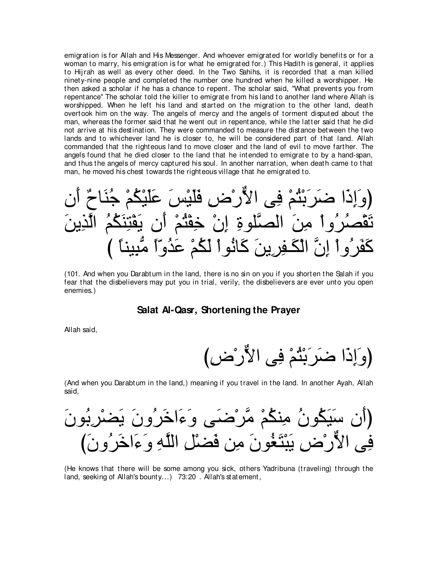emigration is for Allah and His Messenger. And whoever emigrated for worldly benefits or for a woman to marry, his emigration is for what he emigrated for.) This Hadith is general, it applies to Hijrah as well as every other deed. In the Two Sahihs, it is recorded that a man killed ninety-nine people and completed the number one hundred when he killed a worshipper. He then asked a scholar if he has a chance to repent. The scholar said, "What prevents you from repentance'' The scholar told the killer to emigrate from his land to another land where Allah is worshipped. When he left his land and started on the migration to the other land, death overtook him on the way. The angels of mercy and the angels of torment disputed about the man, whereas the former said that he went out in repentance, while the latter said that he did not arrive at his destination. They were commanded to measure the distance between the two lands and to whichever land he is closer to, he will be considered part of that land. Allah commanded that the righteous land to move closer and the land of evil to move farther. The angels found that he died closer to the land that he intended to emigrate to by a hand-span, and thus the angels of mercy captured his soul. In another narration, when death came to that man, he moved his chest towards the righteous village that he emigrated to.

ラ∠ぺ ∀ゥゅ∠レ⊥ィ ∇ユ⊥ム∇Β∠ヤ∠ハ ∠ザ∇Β∠ヤ∠プ ⌒チ∇ケxΙや ヴ⌒プ ∇ユ⊥わ∇よ∠ゲ∠ッ や∠ク⌒ま∠ヱぴ ∠リΑ⌒グzャや ⊥ユ⊥ム∠レ⌒わ∇ヘ∠Α ラ∠ぺ ∇ユ⊥わ∇ヘ⌒カ ∇ラ⌒ま ⌒りヲヤzダャや ∠リ⌒ョ ∇やヱ⊥ゲ⊥ダ∇ボ∠ゎ び ⇔ゅレΒ⌒らぁョ ⇔や∂ヱ⊥ギ∠ハ ∇ユ⊥ム∠ャ ∇やヲ⊥ルゅ∠ミ ∠リΑ⌒ゲ⌒ヘ⇒∠ム∇ャや zラ⌒ま ∇やヱ⊥ゲ∠ヘ∠ミ

(101. And when you Darabtum in the land, there is no sin on you if you shorten the Salah if you fear that the disbelievers may put you in trial, verily, the disbelievers are ever unto you open enemies.)

## **Salat Al-Qasr, Shortening the Prayer**

Allah said,

び⌒チ∇ケxΙや ヴ⌒プ ∇ユ⊥わ∇よ∠ゲ∠ッ や∠ク⌒ま∠ヱぴ

(And when you Darabtum in the land,) meaning if you travel in the land. In another Ayah, Allah said,

∠ラヲ⊥よ⌒ゲ∇ツ∠Α ∠ラヱ⊥ゲ∠カや∠¬∠ヱ ヴ∠ッ∇ゲzョ ∇ユ⊥ムレ⌒ョ ⊥ラヲ⊥ム∠Β∠シ ラ∠ぺぴ び∠ラヱ⊥ゲ∠カや∠¬∠ヱ ⌒ヮzヤャや ⌒モ∇ツ∠プ リ⌒ョ ∠ラヲ⊥ピ∠わ∇ら∠Α ⌒チ∇ケxΙや ヴ⌒プ

(He knows that there will be some among you sick, others Yadribuna (traveling) through the land, seeking of Allah's bounty...) 73:20 . Allah's statement,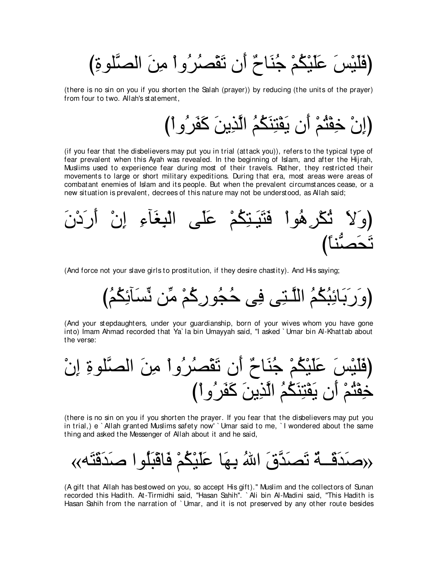(فَلَيْسَ عَلَيْكُمْ جُنَاحٌ أَن تَقْصُرُوا مِنَ الصَّلوةِ)

(there is no sin on you if you shorten the Salah (prayer)) by reducing (the units of the prayer) from four to two. Allah's statement.

(if you fear that the disbelievers may put you in trial (attack you)), refers to the typical type of fear prevalent when this Ayah was revealed. In the beginning of Islam, and after the Hijrah, Muslims used to experience fear during most of their travels. Pather, they restricted their movements to large or short military expeditions. During that era, most areas were areas of combatant enemies of Islam and its people. But when the prevalent circumstances cease, or a new situation is prevalent, decrees of this nature may not be understood, as Allah said;

(And force not your slave girls to prostitution, if they desire chastity). And His saying;

(And your stepdaughters, under your guardianship, born of your wives whom you have gone into) Imam Ahmad recorded that Ya la bin Umayyah said. "I asked `Umar bin Al-Khattab about the verse:

(فَلَّيُسَ عَلَيُكُمٰ جُنَاحُّ أن تَقُصُرُوا مِنَ المَنّلوِةِ إِنُ
$$
\frac{1}{2}
$$

(there is no sin on you if you shorten the prayer. If you fear that the disbelievers may put you in trial,) e `Allah granted Muslims safety now' `Umar said to me, `I wondered about the same thing and asked the Messenger of Allah about it and he said,

(A gift that Allah has bestowed on you, so accept His gift)." Muslim and the collectors of Sunan recorded this Hadith. At-Tirmidhi said, "Hasan Sahih". `Ali bin Al-Madini said, "This Hadith is Hasan Sahih from the narration of `Umar, and it is not preserved by any other route besides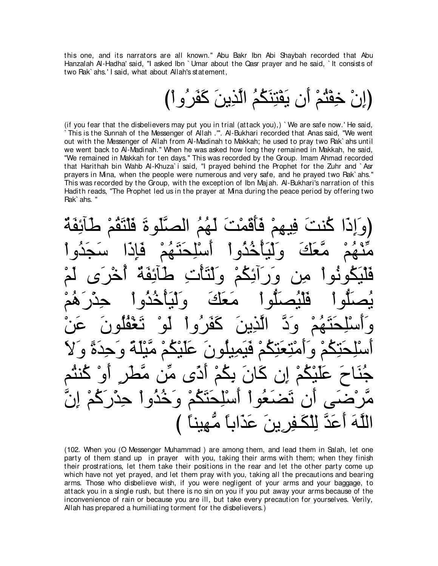this one, and its narrators are all known." Abu Bakr Ibn Abi Shaybah recorded that Abu Hanzalah Al-Hadha' said. "I asked Ibn ` Umar about the Qasr prayer and he said. ` It consists of two Rak' ahs.' I said, what about Allah's statement.

(if you fear that the disbelievers may put you in trial (attack you), ) `We are safe now.' He said, This is the Sunnah of the Messenger of Allah ." Al-Bukhari recorded that Anas said, "We went out with the Messenger of Allah from Al-Madinah to Makkah; he used to pray two Pak`ahs until we went back to Al-Madinah." When he was asked how long they remained in Makkah, he said, "We remained in Makkah for ten days." This was recorded by the Group. Imam Ahmad recorded that Harithah bin Wahb Al-Khuza`i said, "I prayed behind the Prophet for the Zuhr and `Asr prayers in Mina, when the people were numerous and very safe, and he prayed two Pak`ahs." This was recorded by the Group, with the exception of Ibn Maiah. Al-Bukhari's narration of this Hadith reads, "The Prophet led us in the prayer at Mina during the peace period by offering two Rak`ahs."

فَاقْمُتْ لَّمَمَ الص  $\bullet$  $\rightarrow$  $\mathbf{C}$ حم و حَدو ِينَ عَذَاباً مَّهِيناً )

(102. When you (O Messenger Muhammad) are among them, and lead them in Salah, let one party of them stand up in prayer with you, taking their arms with them; when they finish their prostrations, let them take their positions in the rear and let the other party come up which have not yet prayed, and let them pray with you, taking all the precautions and bearing arms. Those who disbelieve wish, if you were negligent of your arms and your baggage, to attack you in a single rush, but there is no sin on you if you put away your arms because of the inconvenience of rain or because you are ill, but take every precaution for yourselves. Verily, Allah has prepared a humiliating torment for the disbelievers.)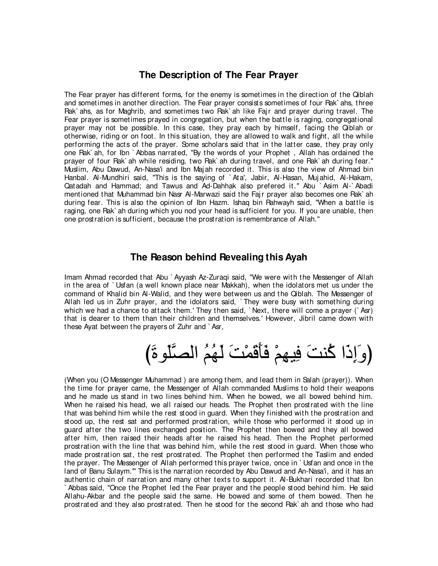## **The Description of The Fear Prayer**

The Fear prayer has different forms, for the enemy is sometimes in the direction of the Qiblah and sometimes in another direction. The Fear prayer consists sometimes of four Rak` ahs, three Rak` ahs, as for Maghrib, and sometimes two Rak` ah like Fajr and prayer during travel. The Fear prayer is sometimes prayed in congregation, but when the battle is raging, congregational prayer may not be possible. In this case, they pray each by himself, facing the Qiblah or otherwise, riding or on foot. In this situation, they are allowed to walk and fight, all the while performing the acts of the prayer. Some scholars said that in the latter case, they pray only one Rak` ah, for Ibn ` Abbas narrated, "By the words of your Prophet , Allah has ordained the prayer of four Rak` ah while residing, two Rak` ah during travel, and one Rak` ah during fear.'' Muslim, Abu Dawud, An-Nasa'i and Ibn Maj ah recorded it. This is also the view of Ahmad bin Hanbal. Al-Mundhiri said, "This is the saying of ` Ata', Jabir, Al-Hasan, Muj ahid, Al-Hakam, Qatadah and Hammad; and Tawus and Ad-Dahhak also prefered it.'' Abu ` Asim Al-` Abadi mentioned that Muhammad bin Nasr Al-Marwazi said the Fair prayer also becomes one Rak`ah during fear. This is also the opinion of Ibn Hazm. Ishaq bin Rahwayh said, "When a battle is raging, one Rak` ah during which you nod your head is sufficient for you. If you are unable, then one prostration is sufficient, because the prostration is remembrance of Allah.''

## **The Reason behind Revealing this Ayah**

Imam Ahmad recorded that Abu ` Ayyash Az-Zuraqi said, "We were with the Messenger of Allah in the area of ` Usfan (a well known place near Makkah), when the idolators met us under the command of Khalid bin Al-Walid, and they were between us and the Qiblah. The Messenger of Allah led us in Zuhr prayer, and the idolators said, ` They were busy with something during which we had a chance to attack them.' They then said, `Next, there will come a prayer (`Asr) that is dearer to them than their children and themselves.' However, Jibril came down with these Ayat between the prayers of Zuhr and ` Asr,

び∠りヲ∠ヤzダャや ⊥ユ⊥ヰ∠ャ ∠ろ∇ヨ∠ホ∠ほ∠プ ∇ユ⌒ヰΒ⌒プ ∠ろレ⊥ミ や∠ク⌒ま∠ヱぴ

(When you (O Messenger Muhammad ) are among them, and lead them in Salah (prayer)). When the time for prayer came, the Messenger of Allah commanded Muslims to hold their weapons and he made us stand in two lines behind him. When he bowed, we all bowed behind him. When he raised his head, we all raised our heads. The Prophet then prostrated with the line that was behind him while the rest stood in guard. When they finished with the prostration and stood up, the rest sat and performed prostration, while those who performed it stood up in guard after the two lines exchanged position. The Prophet then bowed and they all bowed after him, then raised their heads after he raised his head. Then the Prophet performed prostration with the line that was behind him, while the rest stood in guard. When those who made prostration sat, the rest prostrated. The Prophet then performed the Taslim and ended the prayer. The Messenger of Allah performed this prayer twice, once in ` Usfan and once in the land of Banu Sulaym.''' This is the narration recorded by Abu Dawud and An-Nasa'i, and it has an authentic chain of narration and many other texts to support it. Al-Bukhari recorded that Ibn ` Abbas said, "Once the Prophet led the Fear prayer and the people stood behind him. He said Allahu-Akbar and the people said the same. He bowed and some of them bowed. Then he prostrated and they also prostrated. Then he stood for the second Rak` ah and those who had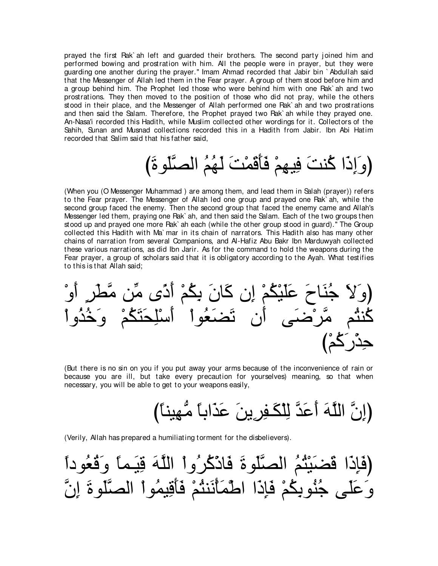prayed the first Rak` ah left and guarded their brothers. The second party joined him and performed bowing and prostration with him. All the people were in prayer, but they were guarding one another during the prayer.'' Imam Ahmad recorded that Jabir bin ` Abdullah said that the Messenger of Allah led them in the Fear prayer. A group of them stood before him and a group behind him. The Prophet led those who were behind him with one Rak` ah and two prostrations. They then moved to the position of those who did not pray, while the others stood in their place, and the Messenger of Allah performed one Rak` ah and two prostrations and then said the Salam. Therefore, the Prophet prayed two Rak` ah while they prayed one. An-Nasa'i recorded this Hadith, while Muslim collected other wordings for it. Collectors of the Sahih, Sunan and Musnad collections recorded this in a Hadith from Jabir. Ibn Abi Hatim recorded that Salim said that his father said,

び∠りヲ∠ヤzダャや ⊥ユ⊥ヰ∠ャ ∠ろ∇ヨ∠ホ∠ほ∠プ ∇ユ⌒ヰΒ⌒プ ∠ろレ⊥ミ や∠ク⌒ま∠ヱぴ

(When you (O Messenger Muhammad ) are among them, and lead them in Salah (prayer)) refers to the Fear prayer. The Messenger of Allah led one group and prayed one Rak` ah, while the second group faced the enemy. Then the second group that faced the enemy came and Allah's Messenger led them, praying one Rak` ah, and then said the Salam. Each of the two groups then stood up and prayed one more Rak` ah each (while the other group stood in guard).'' The Group collected this Hadith with Ma` mar in its chain of narrators. This Hadith also has many other chains of narration from several Companions, and Al-Hafiz Abu Bakr Ibn Marduwyah collected these various narrations, as did Ibn Jarir. As for the command to hold the weapons during the Fear prayer, a group of scholars said that it is obligatory according to the Ayah. What testifies to this is that Allah said;

∇ヱ∠ぺ ∃ゲ∠トzョ リあョ ン⇔ク∠ぺ ∇ユ⊥ム⌒よ ∠ラゅ∠ミ ラ⌒ま ∇ユ⊥ム∇Β∠ヤ∠ハ ∠ゥゅ∠レ⊥ィ ∠Ι∠ヱぴ ∇やヱ⊥グ⊥カ∠ヱ ∇ユ⊥ム∠わ∠エ⌒ヤ∇シ∠ぺ ∇やヲ⊥バ∠ツ∠ゎ ラ∠ぺ ヴ∠ッ∇ゲzョ ユ⊥わレ⊥ミ び∇ユ⊥ミ∠ケ∇グ⌒ェ

(But there is no sin on you if you put away your arms because of the inconvenience of rain or because you are ill, but take every precaution for yourselves) meaning, so that when necessary, you will be able to get to your weapons easily,

び⇔ゅレΒ⌒ヰぁョ ⇔ゅよや∠グ∠ハ ∠リΑ⌒ゲ⌒ヘ⇒∠ム∇ヤ⌒ャ zギ∠ハ∠ぺ ∠ヮzヤャや zラ⌒まぴ

(Verily, Allah has prepared a humiliating torment for the disbelievers).

(فَإِذَا قَضَبَيْتُمُ الصَّلُوةَ فَادْكُرُواْ اللَّهَ قِيَماً وَقَعُوداً وَعَلَى جُنُوبِكُمْ فَإِذَا اطْمَأْنَنِنُّمْ فَأَقِيمُواْ الصَّلُوةَ إِنَّ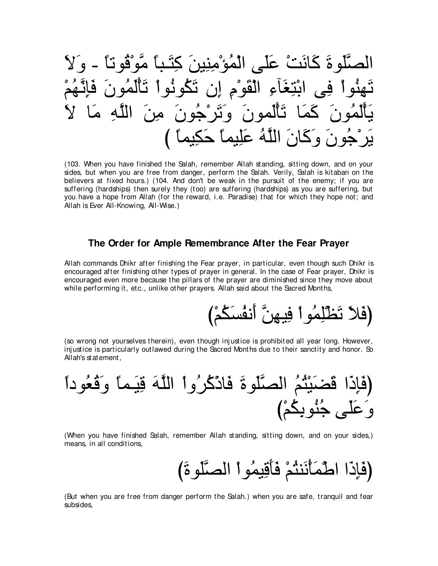∠Ι∠ヱ - ⇔ゅゎヲ⊥ホ∇ヲzョ ⇔ゅら⇒∠わ⌒ミ ∠リΒ⌒レ⌒ョ∇ぽ⊥ヨ∇ャや ヴ∠ヤ∠ハ ∇ろ∠ルゅ∠ミ ∠りヲ∠ヤzダャや ∇ユ⊥ヰzル⌒み∠プ ∠ラヲ⊥ヨ∠ャ∇ほ∠ゎ ∇やヲ⊥ルヲ⊥ム∠ゎ ラ⌒ま ⌒ュ∇ヲ∠ボ∇ャや ⌒¬べ∠ピ⌒わ∇よや ヴ⌒プ ∇やヲ⊥レ⌒ヰ∠ゎ ∠Ι ゅ∠ョ ⌒ヮzヤャや ∠リ⌒ョ ∠ラヲ⊥ィ∇ゲ∠ゎ∠ヱ ∠ラヲヨ∠ャ∇ほ∠ゎ ゅ∠ヨ∠ミ ∠ラヲ⊥ヨ∠ャ∇ほ∠Α び ⇔ゅヨΒ⌒ム∠ェ ⇔ゅヨΒ⌒ヤ∠ハ ⊥ヮzヤャや ∠ラゅ∠ミ∠ヱ ∠ラヲ⊥ィ∇ゲ∠Α

(103. When you have finished the Salah, remember Allah standing, sitting down, and on your sides, but when you are free from danger, perform the Salah. Verily, Salah is kitaban on the believers at fixed hours.) (104. And don't be weak in the pursuit of the enemy; if you are suffering (hardships) then surely they (too) are suffering (hardships) as you are suffering, but you have a hope from Allah (for the reward, i.e. Paradise) that for which they hope not; and Allah is Ever All-Knowing, All-Wise.)

## **The Order for Ample Remembrance After the Fear Prayer**

Allah commands Dhikr after finishing the Fear prayer, in particular, even though such Dhikr is encouraged after finishing other types of prayer in general. In the case of Fear prayer, Dhikr is encouraged even more because the pillars of the prayer are diminished since they move about while performing it, etc., unlike other prayers. Allah said about the Sacred Months,

び∇ユ⊥ム∠ジ⊥ヘル∠ぺ zリ⌒ヰΒ⌒プ ∇やヲ⊥ヨ⌒ヤ∇ヌ∠ゎ ∠Κ∠プぴ

(so wrong not yourselves therein), even though inj ustice is prohibited all year long. However, inj ustice is particularly outlawed during the Sacred Months due to their sanctity and honor. So Allah's statement,

⇔やキヲ⊥バ⊥ホ∠ヱ ⇔ゅヨ⇒∠Β⌒ホ ∠ヮzヤャや ∇やヱ⊥ゲ⊥ミ∇クゅ∠プ ∠りヲ∠ヤzダャや ⊥ユ⊥わ∇Β∠ツ∠ホ や∠ク⌒み∠プぴ び∇ユ⊥ム⌒よヲ⊥レ⊥ィ ヴ∠ヤ∠ハ∠ヱ

(When you have finished Salah, remember Allah standing, sitting down, and on your sides,) means, in all conditions,

び∠りヲ∠ヤzダャや ∇やヲ⊥ヨΒ⌒ホ∠ほ∠プ ∇ユ⊥わレ∠ル∇ほ∠ヨ∇デや や∠ク⌒み∠プぴ

(But when you are free from danger perform the Salah.) when you are safe, tranquil and fear subsides,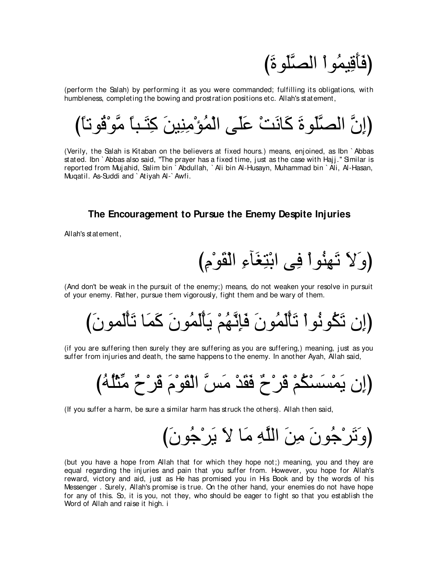

(perform the Salah) by performing it as you were commanded; fulfilling its obligations, with humbleness, completing the bowing and prostration positions etc. Allah's statement,

び⇔ゅゎヲ⊥ホ∇ヲzョ ⇔ゅら⇒∠わ⌒ミ ∠リΒ⌒レ⌒ョ∇ぽ⊥ヨ∇ャや ヴ∠ヤ∠ハ ∇ろ∠ルゅ∠ミ ∠りヲ∠ヤzダャや zラ⌒まぴ

(Verily, the Salah is Kitaban on the believers at fixed hours.) means, enj oined, as Ibn ` Abbas stated. Ibn `Abbas also said, "The prayer has a fixed time, just as the case with Hajj." Similar is reported from Muj ahid, Salim bin ` Abdullah, ` Ali bin Al-Husayn, Muhammad bin ` Ali, Al-Hasan, Muqatil. As-Suddi and ` Atiyah Al-` Awfi.

## **The Encouragement to Pursue the Enemy Despite Injuries**

Allah's statement,

(وَ<sup>3</sup>لاَ تَـهِثُواْ فِي ابْتِغَاْءِ الْقَوْمِ)

(And don't be weak in the pursuit of the enemy;) means, do not weaken your resolve in pursuit of your enemy. Rather, pursue them vigorously, fight them and be wary of them.

(اِنِ تَكُو نُو ا تَأْلَمُو نَ فَاِنَّهُمْ يَأْلَمُو نَ كَمَا تَأْلَمو نَ)

(if you are suffering then surely they are suffering as you are suffering,) meaning, j ust as you suffer from inj uries and death, the same happens to the enemy. In another Ayah, Allah said,

(إِن يَمْسَسْنَكْمْ قَرْ−ٌ فَقَدْ مَسَّ الْقَوْمَ قَرْ−ٌ مِّتَّلُّهُ)

(If you suffer a harm, be sure a similar harm has struck the others). Allah then said,

(وَتَرْجُونَ مِنَ اللَّهِ مَا لاَ يَرْجُونَ)

(but you have a hope from Allah that for which they hope not;) meaning, you and they are equal regarding the injuries and pain that you suffer from. However, you hope for Allah's reward, victory and aid, just as He has promised you in His Book and by the words of his Messenger . Surely, Allah's promise is true. On the other hand, your enemies do not have hope for any of this. So, it is you, not they, who should be eager to fight so that you establish the Word of Allah and raise it high. i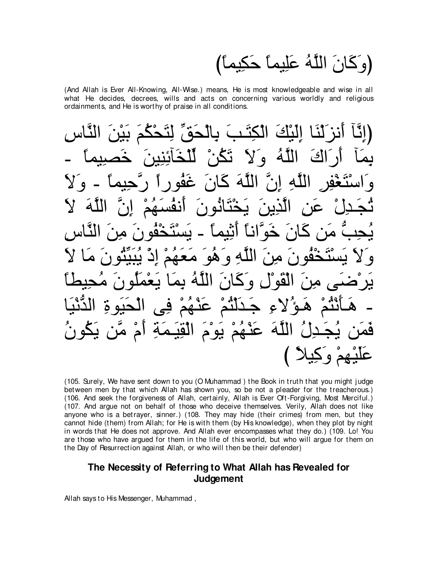(وَكَانَ اللَّهُ عَلِيماً حَكِيماً)

(And Allah is Ever All-Knowing, All-Wise.) means, He is most knowledgeable and wise in all what He decides, decrees, wills and acts on concerning various worldly and religious ordainments, and He is worthy of praise in all conditions.

(105. Surely, We have sent down to you (O Muhammad) the Book in truth that you might judge between men by that which Allah has shown you, so be not a pleader for the treacherous.) (106. And seek the forgiveness of Allah, certainly, Allah is Ever Oft-Forgiving, Most Merciful.) (107. And argue not on behalf of those who deceive themselves. Verily, Allah does not like anyone who is a betrayer, sinner.) (108. They may hide (their crimes) from men, but they cannot hide (them) from Allah; for He is with them (by His knowledge), when they plot by night in words that He does not approve. And Allah ever encompasses what they do.) (109. Lo! You are those who have argued for them in the life of this world, but who will argue for them on the Day of Pesurrection against Allah, or who will then be their defender)

# The Necessity of Referring to What Allah has Revealed for **Judgement**

Allah says to His Messenger, Muhammad,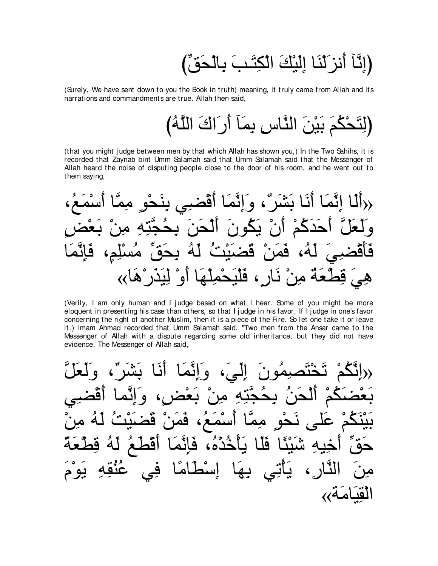(إِنَّآ أَنز َلَنَا اِلَّبْكَ الْكِتَـبَ بِالْحَقِّ)

(Surely, We have sent down to you the Book in truth) meaning, it truly came from Allah and its narrations and commandments are true. Allah then said,

(that you might judge between men by that which Allah has shown you,) In the Two Sahihs, it is recorded that Zaynab bint Umm Salamah said that Umm Salamah said that the Messenger of Allah heard the noise of disputing people close to the door of his room, and he went out to them saying,

(Verily, I am only human and I judge based on what I hear. Some of you might be more eloquent in presenting his case than others, so that I judge in his favor. If I judge in one's favor concerning the right of another Muslim, then it is a piece of the Fire. So let one take it or leave it.) Imam Ahmad recorded that Umm Salamah said, "Two men from the Ansar came to the Messenger of Allah with a dispute regarding some old inheritance, but they did not have evidence. The Messenger of Allah said,

 $6201$ <u>ما</u>  $\bullet$ ۱۹، خده،  $\epsilon$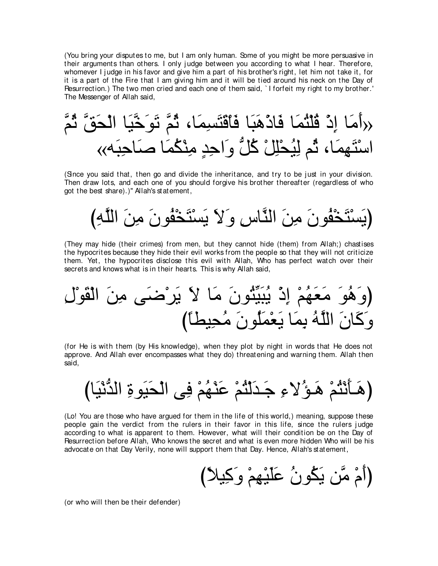(You bring your disputes to me, but I am only human. Some of you might be more persuasive in their arguments than others. I only j udge between you according to what I hear. Therefore, whomever I judge in his favor and give him a part of his brother's right, let him not take it, for it is a part of the Fire that I am giving him and it will be tied around his neck on the Day of Resurrection.) The two men cried and each one of them said, ` I forfeit my right to my brother.' The Messenger of Allah said,

zユ⊥を zペ∠エ∇ャや ゅ∠Βzカ∠ヲ∠ゎ zユ⊥を ∩ゅ∠ヨ⌒ジ∠わ∠ホ∇ゅ∠プ ゅ∠ら∠ワ∇クゅ∠プ ゅ∠ヨ⊥わ∇ヤ⊥ホ ∇ク⌒ま ゅ∠ョ∠ぺ» «ヮ∠ら⌒ェゅ∠タ ゅ∠ヨ⊥ム∇レ⌒ョ ∃ギ⌒ェや∠ヱ ぁモ⊥ミ ∇モ⌒ヤ∇エ⊥Β⌒ャ ユ⊥を ∩ゅ∠ヨ⌒ヰ∠わ∇シや

(Since you said that, then go and divide the inheritance, and try to be just in your division. Then draw lots, and each one of you should forgive his brother thereafter (regardless of who got the best share).)'' Allah's statement,

び⌒ヮzヤャや ∠リ⌒ョ ∠ラヲ⊥ヘ∇ガ∠わ∇ジ∠Α ∠Ι∠ヱ ⌒サゅzレャや ∠リ⌒ョ ∠ラヲ⊥ヘ∇ガ∠わ∇ジ∠Αぴ

(They may hide (their crimes) from men, but they cannot hide (them) from Allah;) chastises the hypocrites because they hide their evil works from the people so that they will not criticize them. Yet, the hypocrites disclose this evil with Allah, Who has perfect watch over their secrets and knows what is in their hearts. This is why Allah said,

⌒メ∇ヲ∠ボ∇ャや ∠リ⌒ョ ヴ∠ッ∇ゲ∠Α ∠Ι ゅ∠ョ ∠ラヲ⊥わあΒ∠ら⊥Α ∇ク⌒ま ∇ユ⊥ヰ∠バ∠ョ ∠ヲ⊥ワ∠ヱぴ び⇔ゅトΒ⌒エ⊥ョ ∠ラヲ⊥ヤ∠ヨ∇バ∠Α ゅ∠ヨ⌒よ ⊥ヮzヤャや ∠ラゅ∠ミ∠ヱ

(for He is with them (by His knowledge), when they plot by night in words that He does not approve. And Allah ever encompasses what they do) threatening and warning them. Allah then said,

びゅ∠Β∇ルぁギャや ⌒りヲ∠Β∠エ∇ャや ヴ⌒プ ∇ユ⊥ヰ∇レ∠ハ ∇ユ⊥わ∇ャ∠ギ⇒∠ィ ⌒¬Ι⊥ぽ⇒∠ワ ∇ユ⊥わ∇ル∠ほ⇒∠ワぴ

(Lo! You are those who have argued for them in the life of this world,) meaning, suppose these people gain the verdict from the rulers in their favor in this life, since the rulers j udge according to what is apparent to them. However, what will their condition be on the Day of Resurrection before Allah, Who knows the secret and what is even more hidden Who will be his advocate on that Day Verily, none will support them that Day. Hence, Allah's statement,

び⇔ΚΒ⌒ミ∠ヱ ∇ユ⌒ヰ∇Β∠ヤ∠ハ ⊥ラヲ⊥ム∠Α リzョ ∇ュ∠ぺぴ

(or who will then be their defender)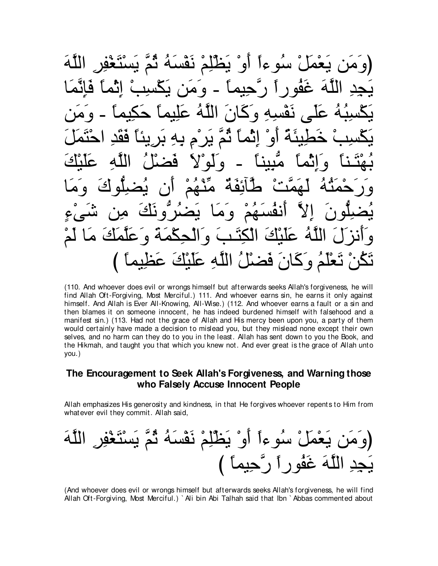بَعْمَلْ سنُو ع∫َ أَو ْ بَطْلِمْ نَفْس يَجِدِ اللَّهَ غَفُوراً رَّحِيماً - وَمَن يَكْسِبْ إِنَّماً فَإِنَّمَا يَكْسِبُهُ عَلَى نَفْسِهِ وَكَانَ اللَّهُ عَلِيماً حَكِيماً - وَمَن يَكْسِبْ خَطِيئَةً أَوْ إِنَّمَا ثُمَّ يَرْمِ بِهِ بَرِينَا فَقَدِ احْتَمَلَ بُهْثَنَا وَإِنَّماً مَّبِينَاً − وَلَوْلاً فَضْلُ اللَّهِ عَلَيْكَ وَرَحْمَثُهُ لَـهَمَّتْ طَّائِفَةٌ مِنْـهُمْ أَن يُضلِلُوكَ وَمَا يُضلِّونَ إلاَّ أَنفُسَهُمْ وَمَا يَضْرُرُّونَكَ مِن شَىْءٍ وَأَنزَلَ اللَّهُ عَلَيْكَ الْكِثَبَ وَالْحِكْمَةَ وَعَلَّمَكَ مَا لَمْ ن فضلْلُ اللّهِ عَلَيْكَ عَذ

(110. And whoever does evil or wrongs himself but afterwards seeks Allah's forgiveness, he will find Allah Oft-Forgiving, Most Merciful.) 111. And whoever earns sin, he earns it only against himself. And Allah is Ever All-Knowing, All-Wise.) (112. And whoever earns a fault or a sin and then blames it on someone innocent, he has indeed burdened himself with falsehood and a manifest sin.) (113. Had not the grace of Allah and His mercy been upon you, a party of them would certainly have made a decision to mislead you, but they mislead none except their own selves, and no harm can they do to you in the least. Allah has sent down to you the Book, and the Hikmah, and taught you that which you knew not. And ever great is the grace of Allah unto you.)

# **The Encouragement to Seek Allah's Forgiveness, and Warning those who Falsely Accuse Innocent People**

Allah emphasizes His generosity and kindness, in that He forgives whoever repents to Him from whatever evil they commit. Allah said,

∠ヮzヤャや ⌒ゲ⌒ヘ∇ピ∠わ∇ジ∠Α zユ⊥を ⊥ヮ∠ジ∇ヘ∠ル ∇ユ⌒ヤ∇ヌ∠Α ∇ヱ∠ぺ ⇔や¬ヲ⊥シ ∇モ∠ヨ∇バ∠Α リ∠ョ∠ヱぴ び ⇔ゅヨΒ⌒ェzケ ⇔やケヲ⊥ヘ∠ビ ∠ヮzヤャや ⌒ギ⌒イ∠Α

(And whoever does evil or wrongs himself but afterwards seeks Allah's forgiveness, he will find Allah Oft-Forgiving, Most Merciful.) ` Ali bin Abi Talhah said that Ibn ` Abbas commented about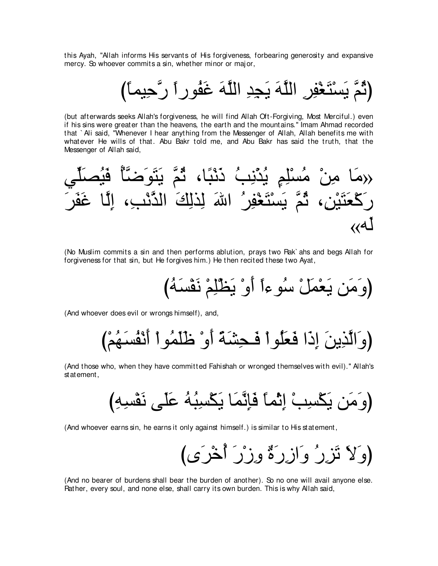this Ayah, "Allah informs His servants of His forgiveness, forbearing generosity and expansive mercy. So whoever commits a sin, whether minor or major,

び⇔ゅヨΒ⌒ェzケ ⇔やケヲ⊥ヘ∠ビ ∠ヮzヤャや ⌒ギ⌒イ∠Α ∠ヮzヤャや ⌒ゲ⌒ヘ∇ピ∠わ∇ジ∠Α zユ⊥をぴ

(but afterwards seeks Allah's forgiveness, he will find Allah Oft-Forgiving, Most Merciful.) even if his sins were greater than the heavens, the earth and the mountains.'' Imam Ahmad recorded that ` Ali said, "Whenever I hear anything from the Messenger of Allah, Allah benefits me with whatever He wills of that. Abu Bakr told me, and Abu Bakr has said the truth, that the Messenger of Allah said,



(No Muslim commits a sin and then performs ablution, prays two Rak` ahs and begs Allah for forgiveness for that sin, but He forgives him.) He then recited these two Ayat,

(وَمَن يَعْمَلْ سُوءاً أَوْ يَظْلِمْ نَفْسَهُ)

(And whoever does evil or wrongs himself), and,

び∇ユ⊥ヰ∠ジ⊥ヘ∇ル∠ぺ ∇やヲ⊥ヨ∠ヤ∠ニ ∇ヱ∠ぺ ⇔る∠ゼ⌒エ⇒∠プ ∇やヲ⊥ヤ∠バ∠プ や∠ク⌒ま ∠リΑ⌒グzャや∠ヱぴ

(And those who, when they have committed Fahishah or wronged themselves with evil).'' Allah's statement,

び⌒ヮ⌒ジ∇ヘ∠ル ヴ∠ヤ∠ハ ⊥ヮ⊥ら⌒ジ∇ム∠Α ゅ∠ヨzル⌒み∠プ ⇔ゅヨ∇を⌒ま ∇ょ⌒ジ∇ム∠Α リ∠ョ∠ヱぴ

(And whoever earns sin, he earns it only against himself.) is similar to His statement,

(وَلاَ تَزِرُ وَازِرَةٌ وِزِرَ أَخْرَى)

(And no bearer of burdens shall bear the burden of another). So no one will avail anyone else. Rather, every soul, and none else, shall carry its own burden. This is why Allah said,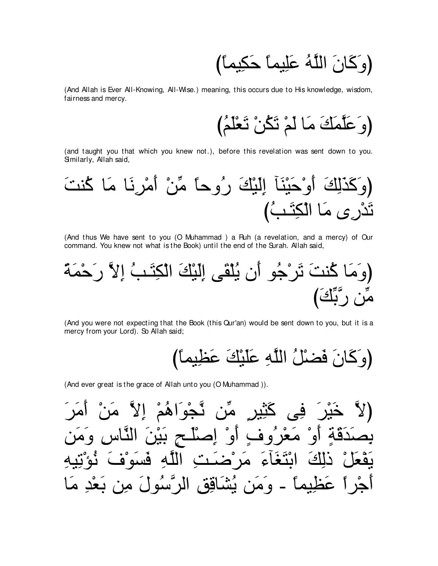(وكَانَ اللَّهُ عَلِيماً حَكِيماً)

(And Allah is Ever All-Knowing, All-Wise.) meaning, this occurs due to His knowledge, wisdom, fairness and mercy.

(and taught you that which you knew not.), before this revelation was sent down to you. Smilarly, Allah said,

(And thus We have sent to you (O Muhammad ) a Ruh (a revelation, and a mercy) of Our command. You knew not what is the Book) until the end of the Surah. Allah said,

(And you were not expecting that the Book (this Qur'an) would be sent down to you, but it is a mercy from your Lord). So Allah said;

(And ever great is the grace of Allah unto you (O Muhammad )).